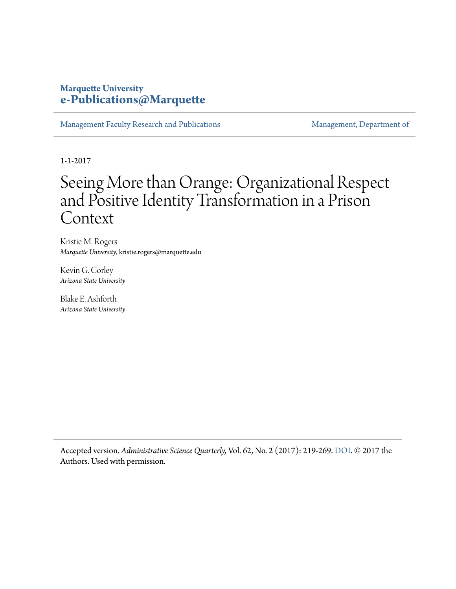## **Marquette University [e-Publications@Marquette](https://epublications.marquette.edu)**

[Management Faculty Research and Publications](https://epublications.marquette.edu/mgmt_fac) [Management, Department of](https://epublications.marquette.edu/mgmt)

1-1-2017

## Seeing More than Orange: Organizational Respect and Positive Identity Transformation in a Prison Context

Kristie M. Rogers *Marquette University*, kristie.rogers@marquette.edu

Kevin G. Corley *Arizona State University*

Blake E. Ashforth *Arizona State University*

Accepted version*. Administrative Science Quarterly,* Vol. 62, No. 2 (2017): 219-269. [DOI.](http://dx.doi.org/10.1177/0001839216678842) © 2017 the Authors. Used with permission.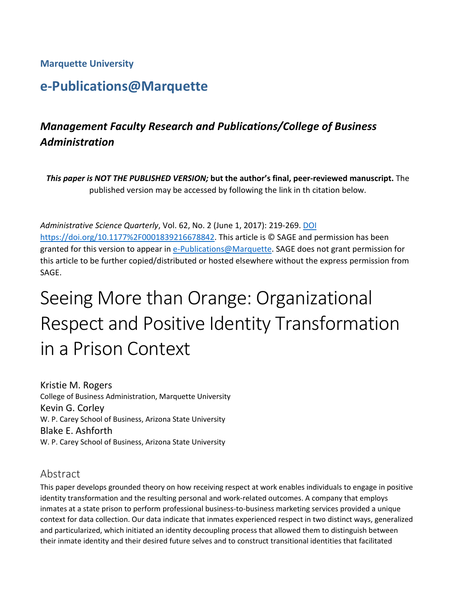## **Marquette University**

## **e-Publications@Marquette**

## *Management Faculty Research and Publications/College of Business Administration*

*This paper is NOT THE PUBLISHED VERSION;* **but the author's final, peer-reviewed manuscript.** The published version may be accessed by following the link in th citation below.

*Administrative Science Quarterly*, Vol. 62, No. 2 (June 1, 2017): 219-269. [DOI](https://doi.org/10.1177%2F0001839216678842) https://doi.org/10.1177%2F0001839216678842. This article is © SAGE and permission has been granted for this version to appear in [e-Publications@Marquette.](http://epublications.marquette.edu/) SAGE does not grant permission for this article to be further copied/distributed or hosted elsewhere without the express permission from SAGE.

# Seeing More than Orange: Organizational Respect and Positive Identity Transformation in a Prison Context

[Kristie M. Rogers](https://journals.sagepub.com/action/doSearch?target=default&ContribAuthorStored=Rogers%2C+Kristie+M) College of Business Administration, Marquette University [Kevin G. Corley](https://journals.sagepub.com/action/doSearch?target=default&ContribAuthorStored=Corley%2C+Kevin+G) W. P. Carey School of Business, Arizona State University [Blake E. Ashforth](https://journals.sagepub.com/action/doSearch?target=default&ContribAuthorStored=Ashforth%2C+Blake+E) W. P. Carey School of Business, Arizona State University

## Abstract

This paper develops grounded theory on how receiving respect at work enables individuals to engage in positive identity transformation and the resulting personal and work-related outcomes. A company that employs inmates at a state prison to perform professional business-to-business marketing services provided a unique context for data collection. Our data indicate that inmates experienced respect in two distinct ways, generalized and particularized, which initiated an identity decoupling process that allowed them to distinguish between their inmate identity and their desired future selves and to construct transitional identities that facilitated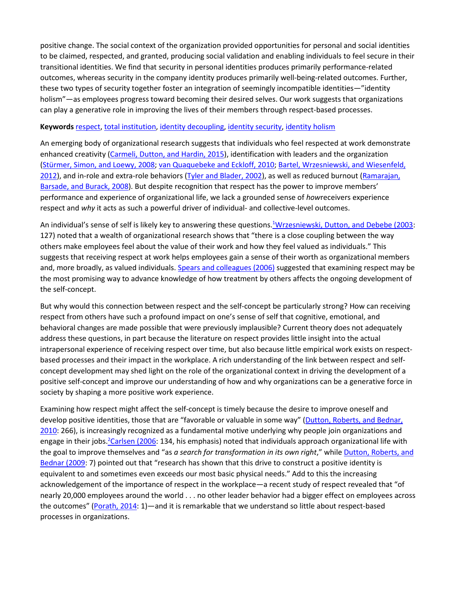positive change. The social context of the organization provided opportunities for personal and social identities to be claimed, respected, and granted, producing social validation and enabling individuals to feel secure in their transitional identities. We find that security in personal identities produces primarily performance-related outcomes, whereas security in the company identity produces primarily well-being-related outcomes. Further, these two types of security together foster an integration of seemingly incompatible identities—"identity holism"—as employees progress toward becoming their desired selves. Our work suggests that organizations can play a generative role in improving the lives of their members through respect-based processes.

#### **Keywords** [respect,](https://journals.sagepub.com/keyword/Respect) [total institution,](https://journals.sagepub.com/keyword/Total+Institution) [identity decoupling,](https://journals.sagepub.com/keyword/Identity+Decoupling) [identity security,](https://journals.sagepub.com/keyword/Identity+Security) [identity holism](https://journals.sagepub.com/keyword/Identity+Holism)

An emerging body of organizational research suggests that individuals who feel respected at work demonstrate enhanced creativity (Carmeli, Dutton, [and Hardin, 2015\)](https://journals.sagepub.com/doi/10.1177/0001839216678842), identification with leaders and the organization [\(Stürmer, Simon, and Loewy, 2008;](https://journals.sagepub.com/doi/10.1177/0001839216678842) [van Quaquebeke and Eckloff, 2010;](https://journals.sagepub.com/doi/10.1177/0001839216678842) [Bartel, Wrzesniewski, and Wiesenfeld,](https://journals.sagepub.com/doi/10.1177/0001839216678842)  [2012\)](https://journals.sagepub.com/doi/10.1177/0001839216678842), and in-role and extra-role behaviors [\(Tyler and Blader, 2002\)](https://journals.sagepub.com/doi/10.1177/0001839216678842), as well as reduced burnout (Ramarajan, [Barsade, and Burack, 2008\)](https://journals.sagepub.com/doi/10.1177/0001839216678842). But despite recognition that respect has the power to improve members' performance and experience of organizational life, we lack a grounded sense of *how*receivers experience respect and *why* it acts as such a powerful driver of individual- and collective-level outcomes.

An individual's sense of self is likely key to answering these questions.<sup>1</sup>[Wrzesniewski, Dutton, and Debebe \(2003:](https://journals.sagepub.com/doi/10.1177/0001839216678842) 127) noted that a wealth of organizational research shows that "there is a close coupling between the way others make employees feel about the value of their work and how they feel valued as individuals." This suggests that receiving respect at work helps employees gain a sense of their worth as organizational members and, more broadly, as valued individuals. [Spears and colleagues \(2006\)](https://journals.sagepub.com/doi/10.1177/0001839216678842) suggested that examining respect may be the most promising way to advance knowledge of how treatment by others affects the ongoing development of the self-concept.

But why would this connection between respect and the self-concept be particularly strong? How can receiving respect from others have such a profound impact on one's sense of self that cognitive, emotional, and behavioral changes are made possible that were previously implausible? Current theory does not adequately address these questions, in part because the literature on respect provides little insight into the actual intrapersonal experience of receiving respect over time, but also because little empirical work exists on respectbased processes and their impact in the workplace. A rich understanding of the link between respect and selfconcept development may shed light on the role of the organizational context in driving the development of a positive self-concept and improve our understanding of how and why organizations can be a generative force in society by shaping a more positive work experience.

Examining how respect might affect the self-concept is timely because the desire to improve oneself and develop positive identities, those that are "favorable or valuable in some way" (Dutton, Roberts, and Bednar, [2010:](https://journals.sagepub.com/doi/10.1177/0001839216678842) 266), is increasingly recognized as a fundamental motive underlying why people join organizations and engage in their jobs.<sup>2</sup>[Carlsen \(2006:](https://journals.sagepub.com/doi/10.1177/0001839216678842) 134, his emphasis) noted that individuals approach organizational life with the goal to improve themselves and "as *a search for transformation in its own right*," while [Dutton, Roberts, and](https://journals.sagepub.com/doi/10.1177/0001839216678842)  [Bednar \(2009:](https://journals.sagepub.com/doi/10.1177/0001839216678842) 7) pointed out that "research has shown that this drive to construct a positive identity is equivalent to and sometimes even exceeds our most basic physical needs." Add to this the increasing acknowledgement of the importance of respect in the workplace—a recent study of respect revealed that "of nearly 20,000 employees around the world . . . no other leader behavior had a bigger effect on employees across the outcomes" [\(Porath, 2014:](https://journals.sagepub.com/doi/10.1177/0001839216678842) 1)—and it is remarkable that we understand so little about respect-based processes in organizations.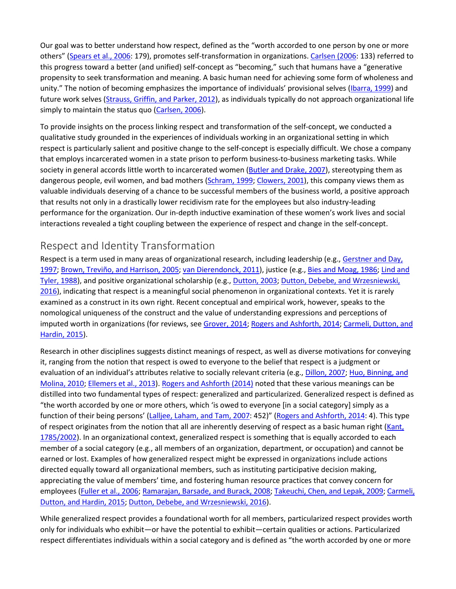Our goal was to better understand how respect, defined as the "worth accorded to one person by one or more others" [\(Spears et al., 2006:](https://journals.sagepub.com/doi/10.1177/0001839216678842) 179), promotes self-transformation in organizations. [Carlsen \(2006:](https://journals.sagepub.com/doi/10.1177/0001839216678842) 133) referred to this progress toward a better (and unified) self-concept as "becoming," such that humans have a "generative propensity to seek transformation and meaning. A basic human need for achieving some form of wholeness and unity." The notion of becoming emphasizes the importance of individuals' provisional selves [\(Ibarra, 1999\)](https://journals.sagepub.com/doi/10.1177/0001839216678842) and future work selves [\(Strauss, Griffin, and Parker, 2012\)](https://journals.sagepub.com/doi/10.1177/0001839216678842), as individuals typically do not approach organizational life simply to maintain the status quo [\(Carlsen, 2006\)](https://journals.sagepub.com/doi/10.1177/0001839216678842).

To provide insights on the process linking respect and transformation of the self-concept, we conducted a qualitative study grounded in the experiences of individuals working in an organizational setting in which respect is particularly salient and positive change to the self-concept is especially difficult. We chose a company that employs incarcerated women in a state prison to perform business-to-business marketing tasks. While society in general accords little worth to incarcerated women [\(Butler and Drake, 2007\)](https://journals.sagepub.com/doi/10.1177/0001839216678842), stereotyping them as dangerous people, evil women, and bad mothers [\(Schram, 1999;](https://journals.sagepub.com/doi/10.1177/0001839216678842) [Clowers, 2001\)](https://journals.sagepub.com/doi/10.1177/0001839216678842), this company views them as valuable individuals deserving of a chance to be successful members of the business world, a positive approach that results not only in a drastically lower recidivism rate for the employees but also industry-leading performance for the organization. Our in-depth inductive examination of these women's work lives and social interactions revealed a tight coupling between the experience of respect and change in the self-concept.

## Respect and Identity Transformation

Respect is a term used in many areas of organizational research, including leadership (e.g., Gerstner and Day, [1997;](https://journals.sagepub.com/doi/10.1177/0001839216678842) [Brown, Treviño, and Harrison, 2005;](https://journals.sagepub.com/doi/10.1177/0001839216678842) [van Dierendonck, 2011\)](https://journals.sagepub.com/doi/10.1177/0001839216678842), justice (e.g., [Bies and Moag, 1986;](https://journals.sagepub.com/doi/10.1177/0001839216678842) [Lind and](https://journals.sagepub.com/doi/10.1177/0001839216678842)  [Tyler, 1988\)](https://journals.sagepub.com/doi/10.1177/0001839216678842), and positive organizational scholarship (e.g., [Dutton, 2003;](https://journals.sagepub.com/doi/10.1177/0001839216678842) [Dutton, Debebe, and Wrzesniewski,](https://journals.sagepub.com/doi/10.1177/0001839216678842)  [2016\)](https://journals.sagepub.com/doi/10.1177/0001839216678842), indicating that respect is a meaningful social phenomenon in organizational contexts. Yet it is rarely examined as a construct in its own right. Recent conceptual and empirical work, however, speaks to the nomological uniqueness of the construct and the value of understanding expressions and perceptions of imputed worth in organizations (for reviews, see [Grover, 2014;](https://journals.sagepub.com/doi/10.1177/0001839216678842) [Rogers and Ashforth, 2014;](https://journals.sagepub.com/doi/10.1177/0001839216678842) [Carmeli, Dutton, and](https://journals.sagepub.com/doi/10.1177/0001839216678842)  [Hardin, 2015\)](https://journals.sagepub.com/doi/10.1177/0001839216678842).

Research in other disciplines suggests distinct meanings of respect, as well as diverse motivations for conveying it, ranging from the notion that respect is owed to everyone to the belief that respect is a judgment or evaluation of an individual's attributes relative to socially relevant criteria (e.g., [Dillon, 2007;](https://journals.sagepub.com/doi/10.1177/0001839216678842) [Huo, Binning, and](https://journals.sagepub.com/doi/10.1177/0001839216678842)  [Molina, 2010;](https://journals.sagepub.com/doi/10.1177/0001839216678842) [Ellemers et al., 2013\)](https://journals.sagepub.com/doi/10.1177/0001839216678842). [Rogers and Ashforth \(2014\)](https://journals.sagepub.com/doi/10.1177/0001839216678842) noted that these various meanings can be distilled into two fundamental types of respect: generalized and particularized. Generalized respect is defined as "the worth accorded by one or more others, which 'is owed to everyone [in a social category] simply as a function of their being persons' [\(Lalljee, Laham, and Tam, 2007:](https://journals.sagepub.com/doi/10.1177/0001839216678842) 452)" [\(Rogers and Ashforth, 2014:](https://journals.sagepub.com/doi/10.1177/0001839216678842) 4). This type of respect originates from the notion that all are inherently deserving of respect as a basic human right [\(Kant,](https://journals.sagepub.com/doi/10.1177/0001839216678842)  [1785/2002\)](https://journals.sagepub.com/doi/10.1177/0001839216678842). In an organizational context, generalized respect is something that is equally accorded to each member of a social category (e.g., all members of an organization, department, or occupation) and cannot be earned or lost. Examples of how generalized respect might be expressed in organizations include actions directed equally toward all organizational members, such as instituting participative decision making, appreciating the value of members' time, and fostering human resource practices that convey concern for employees [\(Fuller et al., 2006;](https://journals.sagepub.com/doi/10.1177/0001839216678842) [Ramarajan, Barsade, and Burack, 2008;](https://journals.sagepub.com/doi/10.1177/0001839216678842) [Takeuchi, Chen, and Lepak, 2009;](https://journals.sagepub.com/doi/10.1177/0001839216678842) [Carmeli,](https://journals.sagepub.com/doi/10.1177/0001839216678842)  [Dutton, and Hardin,](https://journals.sagepub.com/doi/10.1177/0001839216678842) 2015; [Dutton, Debebe, and Wrzesniewski, 2016\)](https://journals.sagepub.com/doi/10.1177/0001839216678842).

While generalized respect provides a foundational worth for all members, particularized respect provides worth only for individuals who exhibit—or have the potential to exhibit—certain qualities or actions. Particularized respect differentiates individuals within a social category and is defined as "the worth accorded by one or more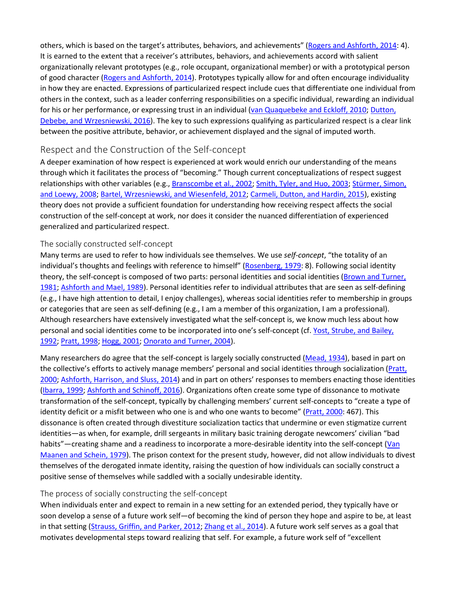others, which is based on the target's attributes, behaviors, and achievements" [\(Rogers and Ashforth, 2014:](https://journals.sagepub.com/doi/10.1177/0001839216678842) 4). It is earned to the extent that a receiver's attributes, behaviors, and achievements accord with salient organizationally relevant prototypes (e.g., role occupant, organizational member) or with a prototypical person of good character [\(Rogers and Ashforth, 2014\)](https://journals.sagepub.com/doi/10.1177/0001839216678842). Prototypes typically allow for and often encourage individuality in how they are enacted. Expressions of particularized respect include cues that differentiate one individual from others in the context, such as a leader conferring responsibilities on a specific individual, rewarding an individual for his or her performance, or expressing trust in an individual [\(van Quaquebeke and Eckloff, 2010;](https://journals.sagepub.com/doi/10.1177/0001839216678842) Dutton, [Debebe, and Wrzesniewski, 2016\)](https://journals.sagepub.com/doi/10.1177/0001839216678842). The key to such expressions qualifying as particularized respect is a clear link between the positive attribute, behavior, or achievement displayed and the signal of imputed worth.

## Respect and the Construction of the Self-concept

A deeper examination of how respect is experienced at work would enrich our understanding of the means through which it facilitates the process of "becoming." Though current conceptualizations of respect suggest relationships with other variables (e.g., [Branscombe et al., 2002;](https://journals.sagepub.com/doi/10.1177/0001839216678842) [Smith, Tyler, and Huo, 2003;](https://journals.sagepub.com/doi/10.1177/0001839216678842) Stürmer, Simon, [and Loewy, 2008;](https://journals.sagepub.com/doi/10.1177/0001839216678842) [Bartel, Wrzesniewski, and Wiesenfeld, 2012;](https://journals.sagepub.com/doi/10.1177/0001839216678842) [Carmeli, Dutton, and Hardin, 2015\)](https://journals.sagepub.com/doi/10.1177/0001839216678842), existing theory does not provide a sufficient foundation for understanding how receiving respect affects the social construction of the self-concept at work, nor does it consider the nuanced differentiation of experienced generalized and particularized respect.

#### The socially constructed self-concept

Many terms are used to refer to how individuals see themselves. We use *self-concept*, "the totality of an individual's thoughts and feelings with reference to himself" [\(Rosenberg, 1979:](https://journals.sagepub.com/doi/10.1177/0001839216678842) 8). Following social identity theory, the self-concept is composed of two parts: personal identities and social identities (Brown and Turner, [1981;](https://journals.sagepub.com/doi/10.1177/0001839216678842) [Ashforth and Mael, 1989\)](https://journals.sagepub.com/doi/10.1177/0001839216678842). Personal identities refer to individual attributes that are seen as self-defining (e.g., I have high attention to detail, I enjoy challenges), whereas social identities refer to membership in groups or categories that are seen as self-defining (e.g., I am a member of this organization, I am a professional). Although researchers have extensively investigated what the self-concept is, we know much less about how personal and social identities come to be incorporated into one's self-concept (cf. [Yost, Strube, and Bailey,](https://journals.sagepub.com/doi/10.1177/0001839216678842)  [1992;](https://journals.sagepub.com/doi/10.1177/0001839216678842) [Pratt, 1998;](https://journals.sagepub.com/doi/10.1177/0001839216678842) [Hogg, 2001;](https://journals.sagepub.com/doi/10.1177/0001839216678842) [Onorato and Turner, 2004\)](https://journals.sagepub.com/doi/10.1177/0001839216678842).

Many researchers do agree that the self-concept is largely socially constructed [\(Mead,](https://journals.sagepub.com/doi/10.1177/0001839216678842) 1934), based in part on the collective's efforts to actively manage members' personal and social identities through socialization [\(Pratt,](https://journals.sagepub.com/doi/10.1177/0001839216678842)  [2000;](https://journals.sagepub.com/doi/10.1177/0001839216678842) [Ashforth, Harrison, and Sluss, 2014\)](https://journals.sagepub.com/doi/10.1177/0001839216678842) and in part on others' responses to members enacting those identities [\(Ibarra, 1999;](https://journals.sagepub.com/doi/10.1177/0001839216678842) [Ashforth and Schinoff, 2016\)](https://journals.sagepub.com/doi/10.1177/0001839216678842). Organizations often create some type of dissonance to motivate transformation of the self-concept, typically by challenging members' current self-concepts to "create a type of identity deficit or a misfit between who one is and who one wants to become" [\(Pratt, 2000:](https://journals.sagepub.com/doi/10.1177/0001839216678842) 467). This dissonance is often created through divestiture socialization tactics that undermine or even stigmatize current identities—as when, for example, drill sergeants in military basic training derogate newcomers' civilian "bad habits"—creating shame and a readiness to incorporate a more-desirable identity into the self-concept (Van [Maanen and Schein, 1979\)](https://journals.sagepub.com/doi/10.1177/0001839216678842). The prison context for the present study, however, did not allow individuals to divest themselves of the derogated inmate identity, raising the question of how individuals can socially construct a positive sense of themselves while saddled with a socially undesirable identity.

#### The process of socially constructing the self-concept

When individuals enter and expect to remain in a new setting for an extended period, they typically have or soon develop a sense of a future work self—of becoming the kind of person they hope and aspire to be, at least in that setting [\(Strauss, Griffin, and Parker, 2012;](https://journals.sagepub.com/doi/10.1177/0001839216678842) [Zhang et al., 2014\)](https://journals.sagepub.com/doi/10.1177/0001839216678842). A future work self serves as a goal that motivates developmental steps toward realizing that self. For example, a future work self of "excellent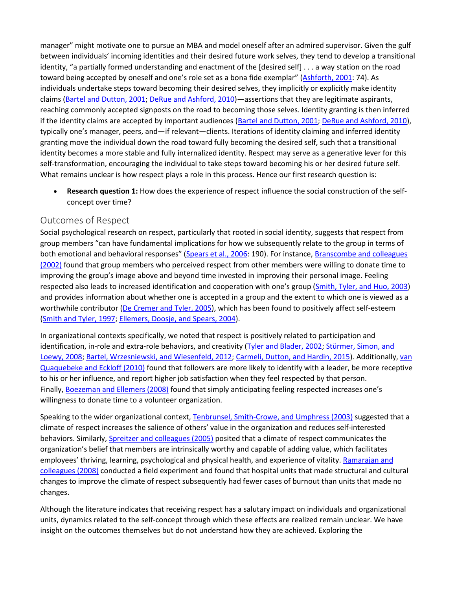manager" might motivate one to pursue an MBA and model oneself after an admired supervisor. Given the gulf between individuals' incoming identities and their desired future work selves, they tend to develop a transitional identity, "a partially formed understanding and enactment of the [desired self] . . . a way station on the road toward being accepted by oneself and one's role set as a bona fide exemplar" [\(Ashforth, 2001:](https://journals.sagepub.com/doi/10.1177/0001839216678842) 74). As individuals undertake steps toward becoming their desired selves, they implicitly or explicitly make identity claims [\(Bartel and Dutton, 2001;](https://journals.sagepub.com/doi/10.1177/0001839216678842) [DeRue and Ashford, 2010\)](https://journals.sagepub.com/doi/10.1177/0001839216678842)—assertions that they are legitimate aspirants, reaching commonly accepted signposts on the road to becoming those selves. Identity granting is then inferred if the identity claims are accepted by important audiences [\(Bartel and Dutton, 2001;](https://journals.sagepub.com/doi/10.1177/0001839216678842) [DeRue and Ashford, 2010\)](https://journals.sagepub.com/doi/10.1177/0001839216678842), typically one's manager, peers, and—if relevant—clients. Iterations of identity claiming and inferred identity granting move the individual down the road toward fully becoming the desired self, such that a transitional identity becomes a more stable and fully internalized identity. Respect may serve as a generative lever for this self-transformation, encouraging the individual to take steps toward becoming his or her desired future self. What remains unclear is how respect plays a role in this process. Hence our first research question is:

• **Research question 1:** How does the experience of respect influence the social construction of the selfconcept over time?

## Outcomes of Respect

Social psychological research on respect, particularly that rooted in social identity, suggests that respect from group members "can have fundamental implications for how we subsequently relate to the group in terms of both emotional and behavioral responses" [\(Spears et al., 2006:](https://journals.sagepub.com/doi/10.1177/0001839216678842) 190). For instance, [Branscombe and colleagues](https://journals.sagepub.com/doi/10.1177/0001839216678842)  [\(2002\)](https://journals.sagepub.com/doi/10.1177/0001839216678842) found that group members who perceived respect from other members were willing to donate time to improving the group's image above and beyond time invested in improving their personal image. Feeling respected also leads to increased identification and cooperation with one's group [\(Smith, Tyler, and Huo, 2003\)](https://journals.sagepub.com/doi/10.1177/0001839216678842) and provides information about whether one is accepted in a group and the extent to which one is viewed as a worthwhile contributor [\(De Cremer and Tyler, 2005\)](https://journals.sagepub.com/doi/10.1177/0001839216678842), which has been found to positively affect self-esteem [\(Smith and Tyler, 1997;](https://journals.sagepub.com/doi/10.1177/0001839216678842) [Ellemers, Doosje, and Spears, 2004\)](https://journals.sagepub.com/doi/10.1177/0001839216678842).

In organizational contexts specifically, we noted that respect is positively related to participation and identification, in-role and extra-role behaviors, and creativity [\(Tyler and Blader, 2002;](https://journals.sagepub.com/doi/10.1177/0001839216678842) [Stürmer, Simon, and](https://journals.sagepub.com/doi/10.1177/0001839216678842)  [Loewy, 2008;](https://journals.sagepub.com/doi/10.1177/0001839216678842) [Bartel, Wrzesniewski, and Wiesenfeld, 2012;](https://journals.sagepub.com/doi/10.1177/0001839216678842) [Carmeli, Dutton, and Hardin, 2015\)](https://journals.sagepub.com/doi/10.1177/0001839216678842). Additionally, [van](https://journals.sagepub.com/doi/10.1177/0001839216678842)  [Quaquebeke and Eckloff \(2010\)](https://journals.sagepub.com/doi/10.1177/0001839216678842) found that followers are more likely to identify with a leader, be more receptive to his or her influence, and report higher job satisfaction when they feel respected by that person. Finally, [Boezeman and Ellemers \(2008\)](https://journals.sagepub.com/doi/10.1177/0001839216678842) found that simply anticipating feeling respected increases one's willingness to donate time to a volunteer organization.

Speaking to the wider organizational context, [Tenbrunsel, Smith-Crowe, and Umphress \(2003\)](https://journals.sagepub.com/doi/10.1177/0001839216678842) suggested that a climate of respect increases the salience of others' value in the organization and reduces self-interested behaviors. Similarly, [Spreitzer and colleagues \(2005\)](https://journals.sagepub.com/doi/10.1177/0001839216678842) posited that a climate of respect communicates the organization's belief that members are intrinsically worthy and capable of adding value, which facilitates employees' thriving, learning, psychological and physical health, and experience of vitality. [Ramarajan and](https://journals.sagepub.com/doi/10.1177/0001839216678842)  [colleagues \(2008\)](https://journals.sagepub.com/doi/10.1177/0001839216678842) conducted a field experiment and found that hospital units that made structural and cultural changes to improve the climate of respect subsequently had fewer cases of burnout than units that made no changes.

Although the literature indicates that receiving respect has a salutary impact on individuals and organizational units, dynamics related to the self-concept through which these effects are realized remain unclear. We have insight on the outcomes themselves but do not understand how they are achieved. Exploring the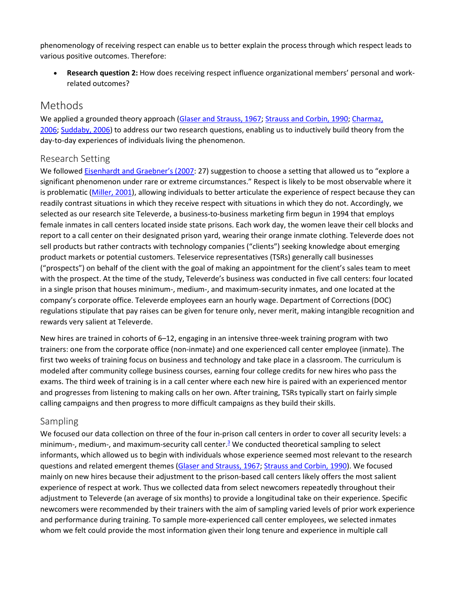phenomenology of receiving respect can enable us to better explain the process through which respect leads to various positive outcomes. Therefore:

• **Research question 2:** How does receiving respect influence organizational members' personal and workrelated outcomes?

## Methods

We applied a grounded theory approach [\(Glaser and Strauss, 1967;](https://journals.sagepub.com/doi/10.1177/0001839216678842) [Strauss and Corbin, 1990;](https://journals.sagepub.com/doi/10.1177/0001839216678842) Charmaz, [2006;](https://journals.sagepub.com/doi/10.1177/0001839216678842) [Suddaby, 2006\)](https://journals.sagepub.com/doi/10.1177/0001839216678842) to address our two research questions, enabling us to inductively build theory from the day-to-day experiences of individuals living the phenomenon.

## Research Setting

We followed [Eisenhardt and Graebner's \(2007:](https://journals.sagepub.com/doi/10.1177/0001839216678842) 27) suggestion to choose a setting that allowed us to "explore a significant phenomenon under rare or extreme circumstances." Respect is likely to be most observable where it is problematic [\(Miller, 2001\)](https://journals.sagepub.com/doi/10.1177/0001839216678842), allowing individuals to better articulate the experience of respect because they can readily contrast situations in which they receive respect with situations in which they do not. Accordingly, we selected as our research site Televerde, a business-to-business marketing firm begun in 1994 that employs female inmates in call centers located inside state prisons. Each work day, the women leave their cell blocks and report to a call center on their designated prison yard, wearing their orange inmate clothing. Televerde does not sell products but rather contracts with technology companies ("clients") seeking knowledge about emerging product markets or potential customers. Teleservice representatives (TSRs) generally call businesses ("prospects") on behalf of the client with the goal of making an appointment for the client's sales team to meet with the prospect. At the time of the study, Televerde's business was conducted in five call centers: four located in a single prison that houses minimum-, medium-, and maximum-security inmates, and one located at the company's corporate office. Televerde employees earn an hourly wage. Department of Corrections (DOC) regulations stipulate that pay raises can be given for tenure only, never merit, making intangible recognition and rewards very salient at Televerde.

New hires are trained in cohorts of 6–12, engaging in an intensive three-week training program with two trainers: one from the corporate office (non-inmate) and one experienced call center employee (inmate). The first two weeks of training focus on business and technology and take place in a classroom. The curriculum is modeled after community college business courses, earning four college credits for new hires who pass the exams. The third week of training is in a call center where each new hire is paired with an experienced mentor and progresses from listening to making calls on her own. After training, TSRs typically start on fairly simple calling campaigns and then progress to more difficult campaigns as they build their skills.

## Sampling

We focused our data collection on three of the four in-prison call centers in order to cover all security levels: a minimum-, medium-, and maximum-security call center. $3$  We conducted theoretical sampling to select informants, which allowed us to begin with individuals whose experience seemed most relevant to the research questions and related emergent themes [\(Glaser and Strauss, 1967;](https://journals.sagepub.com/doi/10.1177/0001839216678842) [Strauss and Corbin, 1990\)](https://journals.sagepub.com/doi/10.1177/0001839216678842). We focused mainly on new hires because their adjustment to the prison-based call centers likely offers the most salient experience of respect at work. Thus we collected data from select newcomers repeatedly throughout their adjustment to Televerde (an average of six months) to provide a longitudinal take on their experience. Specific newcomers were recommended by their trainers with the aim of sampling varied levels of prior work experience and performance during training. To sample more-experienced call center employees, we selected inmates whom we felt could provide the most information given their long tenure and experience in multiple call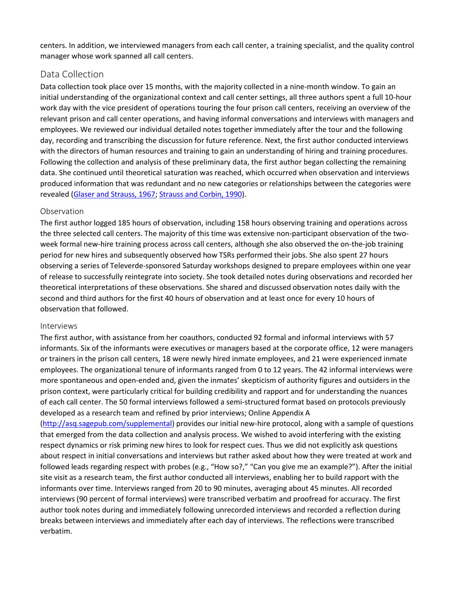centers. In addition, we interviewed managers from each call center, a training specialist, and the quality control manager whose work spanned all call centers.

## Data Collection

Data collection took place over 15 months, with the majority collected in a nine-month window. To gain an initial understanding of the organizational context and call center settings, all three authors spent a full 10-hour work day with the vice president of operations touring the four prison call centers, receiving an overview of the relevant prison and call center operations, and having informal conversations and interviews with managers and employees. We reviewed our individual detailed notes together immediately after the tour and the following day, recording and transcribing the discussion for future reference. Next, the first author conducted interviews with the directors of human resources and training to gain an understanding of hiring and training procedures. Following the collection and analysis of these preliminary data, the first author began collecting the remaining data. She continued until theoretical saturation was reached, which occurred when observation and interviews produced information that was redundant and no new categories or relationships between the categories were revealed [\(Glaser and Strauss, 1967;](https://journals.sagepub.com/doi/10.1177/0001839216678842) [Strauss and Corbin, 1990\)](https://journals.sagepub.com/doi/10.1177/0001839216678842).

### Observation

The first author logged 185 hours of observation, including 158 hours observing training and operations across the three selected call centers. The majority of this time was extensive non-participant observation of the twoweek formal new-hire training process across call centers, although she also observed the on-the-job training period for new hires and subsequently observed how TSRs performed their jobs. She also spent 27 hours observing a series of Televerde-sponsored Saturday workshops designed to prepare employees within one year of release to successfully reintegrate into society. She took detailed notes during observations and recorded her theoretical interpretations of these observations. She shared and discussed observation notes daily with the second and third authors for the first 40 hours of observation and at least once for every 10 hours of observation that followed.

### Interviews

The first author, with assistance from her coauthors, conducted 92 formal and informal interviews with 57 informants. Six of the informants were executives or managers based at the corporate office, 12 were managers or trainers in the prison call centers, 18 were newly hired inmate employees, and 21 were experienced inmate employees. The organizational tenure of informants ranged from 0 to 12 years. The 42 informal interviews were more spontaneous and open-ended and, given the inmates' skepticism of authority figures and outsiders in the prison context, were particularly critical for building credibility and rapport and for understanding the nuances of each call center. The 50 formal interviews followed a semi-structured format based on protocols previously developed as a research team and refined by prior interviews; Online Appendix A

[\(http://asq.sagepub.com/supplemental\)](http://asq.sagepub.com/supplemental) provides our initial new-hire protocol, along with a sample of questions that emerged from the data collection and analysis process. We wished to avoid interfering with the existing respect dynamics or risk priming new hires to look for respect cues. Thus we did not explicitly ask questions about respect in initial conversations and interviews but rather asked about how they were treated at work and followed leads regarding respect with probes (e.g., "How so?," "Can you give me an example?"). After the initial site visit as a research team, the first author conducted all interviews, enabling her to build rapport with the informants over time. Interviews ranged from 20 to 90 minutes, averaging about 45 minutes. All recorded interviews (90 percent of formal interviews) were transcribed verbatim and proofread for accuracy. The first author took notes during and immediately following unrecorded interviews and recorded a reflection during breaks between interviews and immediately after each day of interviews. The reflections were transcribed verbatim.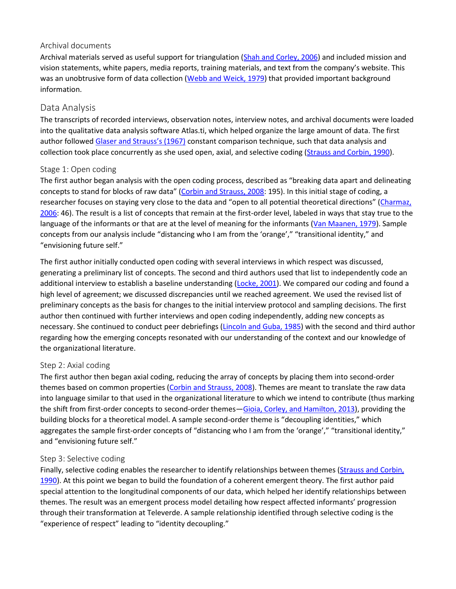### Archival documents

Archival materials served as useful support for triangulation [\(Shah and Corley, 2006\)](https://journals.sagepub.com/doi/10.1177/0001839216678842) and included mission and vision statements, white papers, media reports, training materials, and text from the company's website. This was an unobtrusive form of data collection [\(Webb and Weick, 1979\)](https://journals.sagepub.com/doi/10.1177/0001839216678842) that provided important background information.

## Data Analysis

The transcripts of recorded interviews, observation notes, interview notes, and archival documents were loaded into the qualitative data analysis software Atlas.ti, which helped organize the large amount of data. The first author followed [Glaser and Strauss's \(1967\)](https://journals.sagepub.com/doi/10.1177/0001839216678842) constant comparison technique, such that data analysis and collection took place concurrently as she used open, axial, and selective coding [\(Strauss and Corbin, 1990\)](https://journals.sagepub.com/doi/10.1177/0001839216678842).

## Stage 1: Open coding

The first author began analysis with the open coding process, described as "breaking data apart and delineating concepts to stand for blocks of raw data" [\(Corbin and Strauss, 2008:](https://journals.sagepub.com/doi/10.1177/0001839216678842) 195). In this initial stage of coding, a researcher focuses on staying very close to the data and "open to all potential theoretical directions" [\(Charmaz,](https://journals.sagepub.com/doi/10.1177/0001839216678842)  [2006:](https://journals.sagepub.com/doi/10.1177/0001839216678842) 46). The result is a list of concepts that remain at the first-order level, labeled in ways that stay true to the language of the informants or that are at the level of meaning for the informants [\(Van Maanen, 1979\)](https://journals.sagepub.com/doi/10.1177/0001839216678842). Sample concepts from our analysis include "distancing who I am from the 'orange'," "transitional identity," and "envisioning future self."

The first author initially conducted open coding with several interviews in which respect was discussed, generating a preliminary list of concepts. The second and third authors used that list to independently code an additional interview to establish a baseline understanding [\(Locke, 2001\)](https://journals.sagepub.com/doi/10.1177/0001839216678842). We compared our coding and found a high level of agreement; we discussed discrepancies until we reached agreement. We used the revised list of preliminary concepts as the basis for changes to the initial interview protocol and sampling decisions. The first author then continued with further interviews and open coding independently, adding new concepts as necessary. She continued to conduct peer debriefings [\(Lincoln and Guba, 1985\)](https://journals.sagepub.com/doi/10.1177/0001839216678842) with the second and third author regarding how the emerging concepts resonated with our understanding of the context and our knowledge of the organizational literature.

### Step 2: Axial coding

The first author then began axial coding, reducing the array of concepts by placing them into second-order themes based on common properties [\(Corbin and Strauss, 2008\)](https://journals.sagepub.com/doi/10.1177/0001839216678842). Themes are meant to translate the raw data into language similar to that used in the organizational literature to which we intend to contribute (thus marking the shift from first-order concepts to second-order themes[—Gioia, Corley, and Hamilton, 2013\)](https://journals.sagepub.com/doi/10.1177/0001839216678842), providing the building blocks for a theoretical model. A sample second-order theme is "decoupling identities," which aggregates the sample first-order concepts of "distancing who I am from the 'orange'," "transitional identity," and "envisioning future self."

### Step 3: Selective coding

Finally, selective coding enables the researcher to identify relationships between themes (Strauss and Corbin, [1990\)](https://journals.sagepub.com/doi/10.1177/0001839216678842). At this point we began to build the foundation of a coherent emergent theory. The first author paid special attention to the longitudinal components of our data, which helped her identify relationships between themes. The result was an emergent process model detailing how respect affected informants' progression through their transformation at Televerde. A sample relationship identified through selective coding is the "experience of respect" leading to "identity decoupling."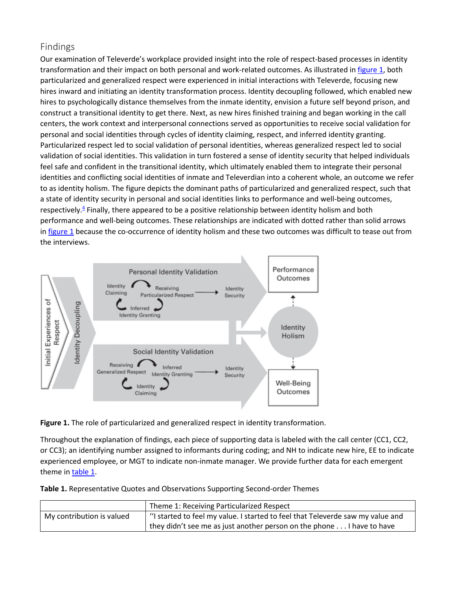## Findings

Our examination of Televerde's workplace provided insight into the role of respect-based processes in identity transformation and their impact on both personal and work-related outcomes. As illustrated in [figure 1,](https://journals.sagepub.com/doi/10.1177/0001839216678842) both particularized and generalized respect were experienced in initial interactions with Televerde, focusing new hires inward and initiating an identity transformation process. Identity decoupling followed, which enabled new hires to psychologically distance themselves from the inmate identity, envision a future self beyond prison, and construct a transitional identity to get there. Next, as new hires finished training and began working in the call centers, the work context and interpersonal connections served as opportunities to receive social validation for personal and social identities through cycles of identity claiming, respect, and inferred identity granting. Particularized respect led to social validation of personal identities, whereas generalized respect led to social validation of social identities. This validation in turn fostered a sense of identity security that helped individuals feel safe and confident in the transitional identity, which ultimately enabled them to integrate their personal identities and conflicting social identities of inmate and Televerdian into a coherent whole, an outcome we refer to as identity holism. The figure depicts the dominant paths of particularized and generalized respect, such that a state of identity security in personal and social identities links to performance and well-being outcomes, respectively. $4$  Finally, there appeared to be a positive relationship between identity holism and both performance and well-being outcomes. These relationships are indicated with dotted rather than solid arrows in [figure 1](https://journals.sagepub.com/doi/10.1177/0001839216678842) because the co-occurrence of identity holism and these two outcomes was difficult to tease out from the interviews.





Throughout the explanation of findings, each piece of supporting data is labeled with the call center (CC1, CC2, or CC3); an identifying number assigned to informants during coding; and NH to indicate new hire, EE to indicate experienced employee, or MGT to indicate non-inmate manager. We provide further data for each emergent theme in [table 1.](https://journals.sagepub.com/doi/10.1177/0001839216678842)

|  |  | Table 1. Representative Quotes and Observations Supporting Second-order Themes |
|--|--|--------------------------------------------------------------------------------|
|--|--|--------------------------------------------------------------------------------|

|                           | Theme 1: Receiving Particularized Respect                                      |
|---------------------------|--------------------------------------------------------------------------------|
| My contribution is valued | "I started to feel my value. I started to feel that Televerde saw my value and |
|                           | they didn't see me as just another person on the phone $\dots$ I have to have  |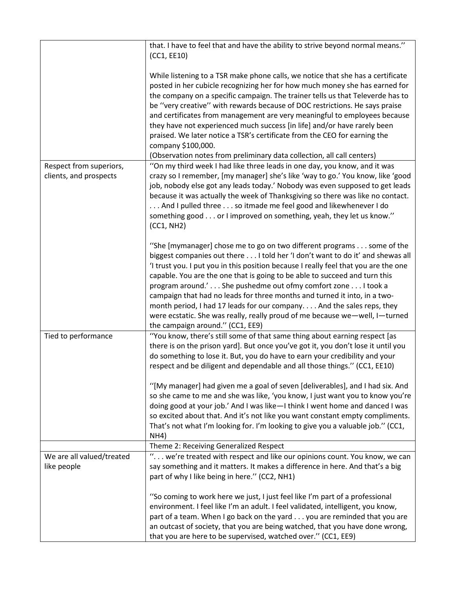|                                                   | that. I have to feel that and have the ability to strive beyond normal means."<br>(CC1, EE10)                                                                                                                                                                                                                                                                                                                                                                                                                                                                                                                                                                          |
|---------------------------------------------------|------------------------------------------------------------------------------------------------------------------------------------------------------------------------------------------------------------------------------------------------------------------------------------------------------------------------------------------------------------------------------------------------------------------------------------------------------------------------------------------------------------------------------------------------------------------------------------------------------------------------------------------------------------------------|
|                                                   | While listening to a TSR make phone calls, we notice that she has a certificate<br>posted in her cubicle recognizing her for how much money she has earned for<br>the company on a specific campaign. The trainer tells us that Televerde has to<br>be "very creative" with rewards because of DOC restrictions. He says praise<br>and certificates from management are very meaningful to employees because<br>they have not experienced much success [in life] and/or have rarely been<br>praised. We later notice a TSR's certificate from the CEO for earning the<br>company \$100,000.<br>(Observation notes from preliminary data collection, all call centers)  |
| Respect from superiors,<br>clients, and prospects | "On my third week I had like three leads in one day, you know, and it was<br>crazy so I remember, [my manager] she's like 'way to go.' You know, like 'good<br>job, nobody else got any leads today.' Nobody was even supposed to get leads<br>because it was actually the week of Thanksgiving so there was like no contact.<br>And I pulled three  so itmade me feel good and likewhenever I do<br>something good or I improved on something, yeah, they let us know."<br>(CC1, NH2)                                                                                                                                                                                 |
|                                                   | "She [mymanager] chose me to go on two different programs some of the<br>biggest companies out there I told her 'I don't want to do it' and shewas all<br>'I trust you. I put you in this position because I really feel that you are the one<br>capable. You are the one that is going to be able to succeed and turn this<br>program around.' She pushedme out ofmy comfort zone  I took a<br>campaign that had no leads for three months and turned it into, in a two-<br>month period, I had 17 leads for our company. And the sales reps, they<br>were ecstatic. She was really, really proud of me because we-well, I-turned<br>the campaign around." (CC1, EE9) |
| Tied to performance                               | "You know, there's still some of that same thing about earning respect [as<br>there is on the prison yard]. But once you've got it, you don't lose it until you<br>do something to lose it. But, you do have to earn your credibility and your<br>respect and be diligent and dependable and all those things." (CC1, EE10)                                                                                                                                                                                                                                                                                                                                            |
|                                                   | "[My manager] had given me a goal of seven [deliverables], and I had six. And<br>so she came to me and she was like, 'you know, I just want you to know you're<br>doing good at your job.' And I was like-I think I went home and danced I was<br>so excited about that. And it's not like you want constant empty compliments.<br>That's not what I'm looking for. I'm looking to give you a valuable job." (CC1,<br>NH4)                                                                                                                                                                                                                                             |
|                                                   | Theme 2: Receiving Generalized Respect                                                                                                                                                                                                                                                                                                                                                                                                                                                                                                                                                                                                                                 |
| We are all valued/treated<br>like people          | " we're treated with respect and like our opinions count. You know, we can<br>say something and it matters. It makes a difference in here. And that's a big<br>part of why I like being in here." (CC2, NH1)                                                                                                                                                                                                                                                                                                                                                                                                                                                           |
|                                                   | "So coming to work here we just, I just feel like I'm part of a professional<br>environment. I feel like I'm an adult. I feel validated, intelligent, you know,<br>part of a team. When I go back on the yard you are reminded that you are<br>an outcast of society, that you are being watched, that you have done wrong,<br>that you are here to be supervised, watched over." (CC1, EE9)                                                                                                                                                                                                                                                                           |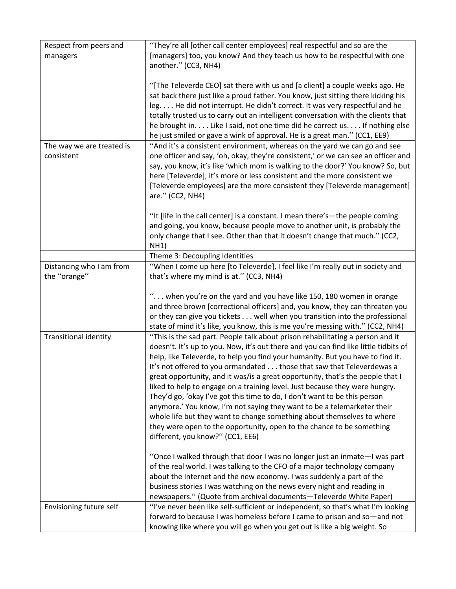| Respect from peers and       | "They're all [other call center employees] real respectful and so are the            |
|------------------------------|--------------------------------------------------------------------------------------|
| managers                     | [managers] too, you know? And they teach us how to be respectful with one            |
|                              | another." (CC3, NH4)                                                                 |
|                              |                                                                                      |
|                              | "[The Televerde CEO] sat there with us and [a client] a couple weeks ago. He         |
|                              | sat back there just like a proud father. You know, just sitting there kicking his    |
|                              | leg He did not interrupt. He didn't correct. It was very respectful and he           |
|                              | totally trusted us to carry out an intelligent conversation with the clients that    |
|                              | he brought in Like I said, not one time did he correct us If nothing else            |
|                              | he just smiled or gave a wink of approval. He is a great man." (CC1, EE9)            |
| The way we are treated is    | "And it's a consistent environment, whereas on the yard we can go and see            |
| consistent                   | one officer and say, 'oh, okay, they're consistent,' or we can see an officer and    |
|                              | say, you know, it's like 'which mom is walking to the door?' You know? So, but       |
|                              | here [Televerde], it's more or less consistent and the more consistent we            |
|                              | [Televerde employees] are the more consistent they [Televerde management]            |
|                              | are." (CC2, NH4)                                                                     |
|                              |                                                                                      |
|                              | "It [life in the call center] is a constant. I mean there's—the people coming        |
|                              | and going, you know, because people move to another unit, is probably the            |
|                              | only change that I see. Other than that it doesn't change that much." (CC2,          |
|                              | NH1)                                                                                 |
|                              | Theme 3: Decoupling Identities                                                       |
| Distancing who I am from     | "When I come up here [to Televerde], I feel like I'm really out in society and       |
| the "orange"                 | that's where my mind is at." (CC3, NH4)                                              |
|                              |                                                                                      |
|                              | " when you're on the yard and you have like 150, 180 women in orange                 |
|                              | and three brown [correctional officers] and, you know, they can threaten you         |
|                              | or they can give you tickets well when you transition into the professional          |
|                              | state of mind it's like, you know, this is me you're messing with." (CC2, NH4)       |
| <b>Transitional identity</b> | "This is the sad part. People talk about prison rehabilitating a person and it       |
|                              | doesn't. It's up to you. Now, it's out there and you can find like little tidbits of |
|                              | help, like Televerde, to help you find your humanity. But you have to find it.       |
|                              | It's not offered to you ormandated those that saw that Televerdewas a                |
|                              | great opportunity, and it was/is a great opportunity, that's the people that I       |
|                              | liked to help to engage on a training level. Just because they were hungry.          |
|                              | They'd go, 'okay I've got this time to do, I don't want to be this person            |
|                              | anymore.' You know, I'm not saying they want to be a telemarketer their              |
|                              | whole life but they want to change something about themselves to where               |
|                              | they were open to the opportunity, open to the chance to be something                |
|                              | different, you know?" (CC1, EE6)                                                     |
|                              |                                                                                      |
|                              | "Once I walked through that door I was no longer just an inmate-I was part           |
|                              | of the real world. I was talking to the CFO of a major technology company            |
|                              | about the Internet and the new economy. I was suddenly a part of the                 |
|                              | business stories I was watching on the news every night and reading in               |
|                              | newspapers." (Quote from archival documents-Televerde White Paper)                   |
| Envisioning future self      | "I've never been like self-sufficient or independent, so that's what I'm looking     |
|                              | forward to because I was homeless before I came to prison and so-and not             |
|                              | knowing like where you will go when you get out is like a big weight. So             |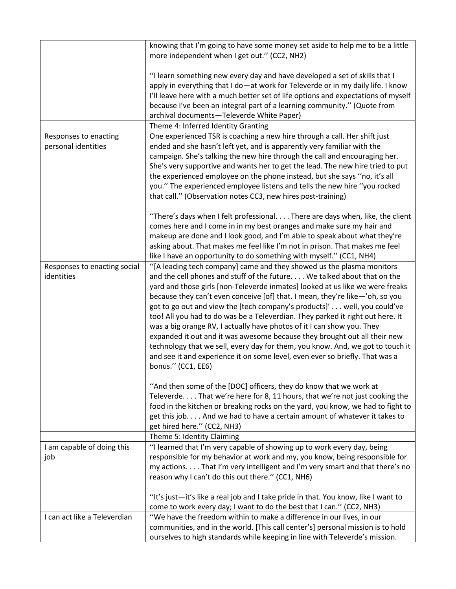| knowing that I'm going to have some money set aside to help me to be a little<br>more independent when I get out." (CC2, NH2)                                                                                                                                                                                                                                                                                                                                                                                                                                                                                                                                                                                                                          |
|--------------------------------------------------------------------------------------------------------------------------------------------------------------------------------------------------------------------------------------------------------------------------------------------------------------------------------------------------------------------------------------------------------------------------------------------------------------------------------------------------------------------------------------------------------------------------------------------------------------------------------------------------------------------------------------------------------------------------------------------------------|
| "I learn something new every day and have developed a set of skills that I<br>apply in everything that I do-at work for Televerde or in my daily life. I know<br>I'll leave here with a much better set of life options and expectations of myself<br>because I've been an integral part of a learning community." (Quote from<br>archival documents-Televerde White Paper)                                                                                                                                                                                                                                                                                                                                                                            |
| Theme 4: Inferred Identity Granting                                                                                                                                                                                                                                                                                                                                                                                                                                                                                                                                                                                                                                                                                                                    |
| One experienced TSR is coaching a new hire through a call. Her shift just<br>ended and she hasn't left yet, and is apparently very familiar with the<br>campaign. She's talking the new hire through the call and encouraging her.<br>She's very supportive and wants her to get the lead. The new hire tried to put<br>the experienced employee on the phone instead, but she says "no, it's all<br>you." The experienced employee listens and tells the new hire "you rocked<br>that call." (Observation notes CC3, new hires post-training)                                                                                                                                                                                                         |
| "There's days when I felt professional. There are days when, like, the client<br>comes here and I come in in my best oranges and make sure my hair and<br>makeup are done and I look good, and I'm able to speak about what they're<br>asking about. That makes me feel like I'm not in prison. That makes me feel<br>like I have an opportunity to do something with myself." (CC1, NH4)                                                                                                                                                                                                                                                                                                                                                              |
| "[A leading tech company] came and they showed us the plasma monitors                                                                                                                                                                                                                                                                                                                                                                                                                                                                                                                                                                                                                                                                                  |
| and the cell phones and stuff of the future. We talked about that on the<br>yard and those girls [non-Televerde inmates] looked at us like we were freaks<br>because they can't even conceive [of] that. I mean, they're like-'oh, so you<br>got to go out and view the [tech company's products]' well, you could've<br>too! All you had to do was be a Televerdian. They parked it right out here. It<br>was a big orange RV, I actually have photos of it I can show you. They<br>expanded it out and it was awesome because they brought out all their new<br>technology that we sell, every day for them, you know. And, we got to touch it<br>and see it and experience it on some level, even ever so briefly. That was a<br>bonus." (CC1, EE6) |
| "And then some of the [DOC] officers, they do know that we work at<br>Televerde. That we're here for 8, 11 hours, that we're not just cooking the<br>food in the kitchen or breaking rocks on the yard, you know, we had to fight to<br>get this job. And we had to have a certain amount of whatever it takes to<br>get hired here." (CC2, NH3)                                                                                                                                                                                                                                                                                                                                                                                                       |
| Theme 5: Identity Claiming                                                                                                                                                                                                                                                                                                                                                                                                                                                                                                                                                                                                                                                                                                                             |
| "I learned that I'm very capable of showing up to work every day, being                                                                                                                                                                                                                                                                                                                                                                                                                                                                                                                                                                                                                                                                                |
| responsible for my behavior at work and my, you know, being responsible for<br>my actions. That I'm very intelligent and I'm very smart and that there's no<br>reason why I can't do this out there." (CC1, NH6)                                                                                                                                                                                                                                                                                                                                                                                                                                                                                                                                       |
| "It's just-it's like a real job and I take pride in that. You know, like I want to                                                                                                                                                                                                                                                                                                                                                                                                                                                                                                                                                                                                                                                                     |
| come to work every day; I want to do the best that I can." (CC2, NH3)                                                                                                                                                                                                                                                                                                                                                                                                                                                                                                                                                                                                                                                                                  |
| "We have the freedom within to make a difference in our lives, in our<br>communities, and in the world. [This call center's] personal mission is to hold<br>ourselves to high standards while keeping in line with Televerde's mission.                                                                                                                                                                                                                                                                                                                                                                                                                                                                                                                |
|                                                                                                                                                                                                                                                                                                                                                                                                                                                                                                                                                                                                                                                                                                                                                        |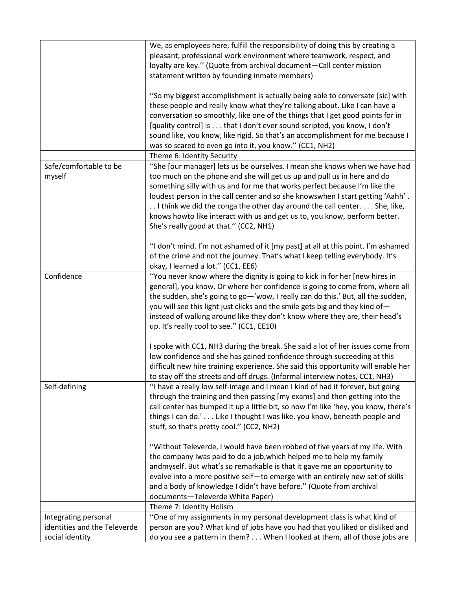|                              | We, as employees here, fulfill the responsibility of doing this by creating a      |
|------------------------------|------------------------------------------------------------------------------------|
|                              | pleasant, professional work environment where teamwork, respect, and               |
|                              | loyalty are key." (Quote from archival document-Call center mission                |
|                              | statement written by founding inmate members)                                      |
|                              |                                                                                    |
|                              | "So my biggest accomplishment is actually being able to conversate [sic] with      |
|                              | these people and really know what they're talking about. Like I can have a         |
|                              | conversation so smoothly, like one of the things that I get good points for in     |
|                              | [quality control] is that I don't ever sound scripted, you know, I don't           |
|                              | sound like, you know, like rigid. So that's an accomplishment for me because I     |
|                              | was so scared to even go into it, you know." (CC1, NH2)                            |
|                              | Theme 6: Identity Security                                                         |
| Safe/comfortable to be       | "She [our manager] lets us be ourselves. I mean she knows when we have had         |
| myself                       | too much on the phone and she will get us up and pull us in here and do            |
|                              | something silly with us and for me that works perfect because I'm like the         |
|                              |                                                                                    |
|                              | loudest person in the call center and so she knowswhen I start getting 'Aahh'.     |
|                              | I think we did the conga the other day around the call center She, like,           |
|                              | knows howto like interact with us and get us to, you know, perform better.         |
|                              | She's really good at that." (CC2, NH1)                                             |
|                              | "I don't mind. I'm not ashamed of it [my past] at all at this point. I'm ashamed   |
|                              |                                                                                    |
|                              | of the crime and not the journey. That's what I keep telling everybody. It's       |
|                              | okay, I learned a lot." (CC1, EE6)                                                 |
| Confidence                   | "You never know where the dignity is going to kick in for her [new hires in        |
|                              | general], you know. Or where her confidence is going to come from, where all       |
|                              | the sudden, she's going to go-'wow, I really can do this.' But, all the sudden,    |
|                              | you will see this light just clicks and the smile gets big and they kind of-       |
|                              | instead of walking around like they don't know where they are, their head's        |
|                              | up. It's really cool to see." (CC1, EE10)                                          |
|                              |                                                                                    |
|                              | I spoke with CC1, NH3 during the break. She said a lot of her issues come from     |
|                              | low confidence and she has gained confidence through succeeding at this            |
|                              | difficult new hire training experience. She said this opportunity will enable her  |
|                              | to stay off the streets and off drugs. (Informal interview notes, CC1, NH3)        |
| Self-defining                | "I have a really low self-image and I mean I kind of had it forever, but going     |
|                              | through the training and then passing [my exams] and then getting into the         |
|                              | call center has bumped it up a little bit, so now I'm like 'hey, you know, there's |
|                              | things I can do.' Like I thought I was like, you know, beneath people and          |
|                              | stuff, so that's pretty cool." (CC2, NH2)                                          |
|                              |                                                                                    |
|                              | "Without Televerde, I would have been robbed of five years of my life. With        |
|                              | the company Iwas paid to do a job, which helped me to help my family               |
|                              | andmyself. But what's so remarkable is that it gave me an opportunity to           |
|                              | evolve into a more positive self-to emerge with an entirely new set of skills      |
|                              | and a body of knowledge I didn't have before." (Quote from archival                |
|                              | documents-Televerde White Paper)                                                   |
|                              | Theme 7: Identity Holism                                                           |
| Integrating personal         | "One of my assignments in my personal development class is what kind of            |
| identities and the Televerde | person are you? What kind of jobs have you had that you liked or disliked and      |
| social identity              | do you see a pattern in them? When I looked at them, all of those jobs are         |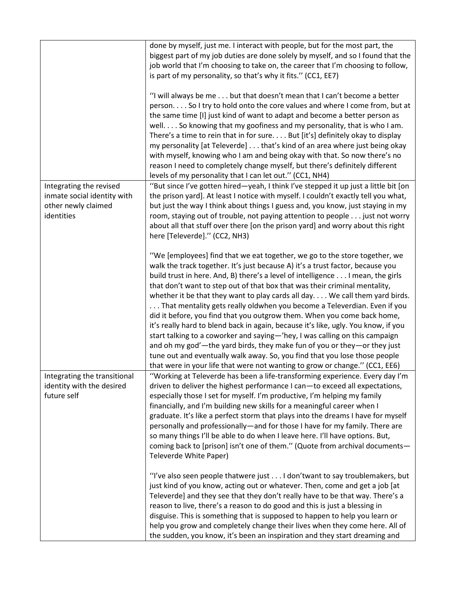|                              | done by myself, just me. I interact with people, but for the most part, the                                                                               |
|------------------------------|-----------------------------------------------------------------------------------------------------------------------------------------------------------|
|                              | biggest part of my job duties are done solely by myself, and so I found that the                                                                          |
|                              | job world that I'm choosing to take on, the career that I'm choosing to follow,                                                                           |
|                              | is part of my personality, so that's why it fits." (CC1, EE7)                                                                                             |
|                              | "I will always be me but that doesn't mean that I can't become a better                                                                                   |
|                              | person. So I try to hold onto the core values and where I come from, but at                                                                               |
|                              | the same time [I] just kind of want to adapt and become a better person as                                                                                |
|                              | well. So knowing that my goofiness and my personality, that is who I am.                                                                                  |
|                              | There's a time to rein that in for sure. But [it's] definitely okay to display                                                                            |
|                              | my personality [at Televerde] that's kind of an area where just being okay                                                                                |
|                              | with myself, knowing who I am and being okay with that. So now there's no                                                                                 |
|                              | reason I need to completely change myself, but there's definitely different                                                                               |
|                              | levels of my personality that I can let out." (CC1, NH4)                                                                                                  |
| Integrating the revised      | "But since I've gotten hired-yeah, I think I've stepped it up just a little bit [on                                                                       |
| inmate social identity with  | the prison yard]. At least I notice with myself. I couldn't exactly tell you what,                                                                        |
| other newly claimed          | but just the way I think about things I guess and, you know, just staying in my                                                                           |
| identities                   | room, staying out of trouble, not paying attention to people just not worry                                                                               |
|                              | about all that stuff over there [on the prison yard] and worry about this right                                                                           |
|                              | here [Televerde]." (CC2, NH3)                                                                                                                             |
|                              | "We [employees] find that we eat together, we go to the store together, we                                                                                |
|                              | walk the track together. It's just because A) it's a trust factor, because you                                                                            |
|                              | build trust in here. And, B) there's a level of intelligence I mean, the girls                                                                            |
|                              | that don't want to step out of that box that was their criminal mentality,                                                                                |
|                              | whether it be that they want to play cards all day We call them yard birds.                                                                               |
|                              | That mentality gets really oldwhen you become a Televerdian. Even if you                                                                                  |
|                              | did it before, you find that you outgrow them. When you come back home,                                                                                   |
|                              | it's really hard to blend back in again, because it's like, ugly. You know, if you                                                                        |
|                              | start talking to a coworker and saying-'hey, I was calling on this campaign                                                                               |
|                              | and oh my god'—the yard birds, they make fun of you or they—or they just                                                                                  |
|                              | tune out and eventually walk away. So, you find that you lose those people                                                                                |
|                              | that were in your life that were not wanting to grow or change." (CC1, EE6)                                                                               |
| Integrating the transitional | "Working at Televerde has been a life-transforming experience. Every day I'm                                                                              |
| identity with the desired    | driven to deliver the highest performance I can-to exceed all expectations,                                                                               |
| future self                  | especially those I set for myself. I'm productive, I'm helping my family                                                                                  |
|                              | financially, and I'm building new skills for a meaningful career when I                                                                                   |
|                              | graduate. It's like a perfect storm that plays into the dreams I have for myself                                                                          |
|                              | personally and professionally-and for those I have for my family. There are                                                                               |
|                              | so many things I'll be able to do when I leave here. I'll have options. But,                                                                              |
|                              | coming back to [prison] isn't one of them." (Quote from archival documents-                                                                               |
|                              | Televerde White Paper)                                                                                                                                    |
|                              |                                                                                                                                                           |
|                              | "I've also seen people thatwere just I don'twant to say troublemakers, but<br>just kind of you know, acting out or whatever. Then, come and get a job [at |
|                              | Televerde] and they see that they don't really have to be that way. There's a                                                                             |
|                              | reason to live, there's a reason to do good and this is just a blessing in                                                                                |
|                              | disguise. This is something that is supposed to happen to help you learn or                                                                               |
|                              | help you grow and completely change their lives when they come here. All of                                                                               |
|                              | the sudden, you know, it's been an inspiration and they start dreaming and                                                                                |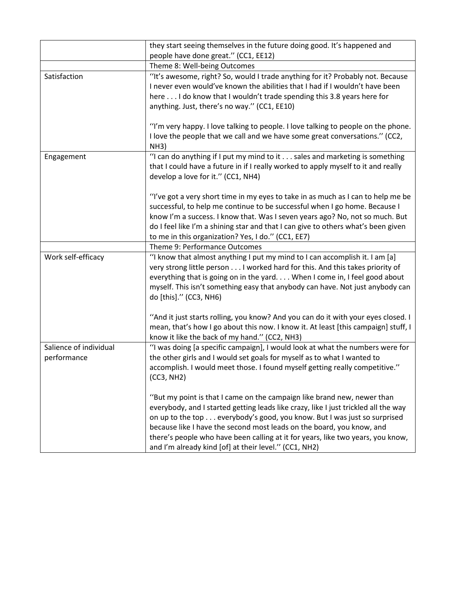|                                       | they start seeing themselves in the future doing good. It's happened and                                                                                                                                                                                                                                                                                                                                                                                        |
|---------------------------------------|-----------------------------------------------------------------------------------------------------------------------------------------------------------------------------------------------------------------------------------------------------------------------------------------------------------------------------------------------------------------------------------------------------------------------------------------------------------------|
|                                       | people have done great." (CC1, EE12)                                                                                                                                                                                                                                                                                                                                                                                                                            |
|                                       | Theme 8: Well-being Outcomes                                                                                                                                                                                                                                                                                                                                                                                                                                    |
| Satisfaction                          | "It's awesome, right? So, would I trade anything for it? Probably not. Because<br>I never even would've known the abilities that I had if I wouldn't have been<br>here I do know that I wouldn't trade spending this 3.8 years here for<br>anything. Just, there's no way." (CC1, EE10)                                                                                                                                                                         |
|                                       | "I'm very happy. I love talking to people. I love talking to people on the phone.<br>I love the people that we call and we have some great conversations." (CC2,<br>NH3)                                                                                                                                                                                                                                                                                        |
| Engagement                            | "I can do anything if I put my mind to it sales and marketing is something<br>that I could have a future in if I really worked to apply myself to it and really<br>develop a love for it." (CC1, NH4)                                                                                                                                                                                                                                                           |
|                                       | "I've got a very short time in my eyes to take in as much as I can to help me be<br>successful, to help me continue to be successful when I go home. Because I<br>know I'm a success. I know that. Was I seven years ago? No, not so much. But<br>do I feel like I'm a shining star and that I can give to others what's been given<br>to me in this organization? Yes, I do." (CC1, EE7)                                                                       |
|                                       | Theme 9: Performance Outcomes                                                                                                                                                                                                                                                                                                                                                                                                                                   |
| Work self-efficacy                    | "I know that almost anything I put my mind to I can accomplish it. I am [a]<br>very strong little person I worked hard for this. And this takes priority of<br>everything that is going on in the yard. When I come in, I feel good about<br>myself. This isn't something easy that anybody can have. Not just anybody can<br>do [this]." (CC3, NH6)                                                                                                            |
|                                       | "And it just starts rolling, you know? And you can do it with your eyes closed. I<br>mean, that's how I go about this now. I know it. At least [this campaign] stuff, I<br>know it like the back of my hand." (CC2, NH3)                                                                                                                                                                                                                                        |
| Salience of individual<br>performance | "I was doing [a specific campaign], I would look at what the numbers were for<br>the other girls and I would set goals for myself as to what I wanted to<br>accomplish. I would meet those. I found myself getting really competitive."<br>(CC3, NH2)                                                                                                                                                                                                           |
|                                       | "But my point is that I came on the campaign like brand new, newer than<br>everybody, and I started getting leads like crazy, like I just trickled all the way<br>on up to the top everybody's good, you know. But I was just so surprised<br>because like I have the second most leads on the board, you know, and<br>there's people who have been calling at it for years, like two years, you know,<br>and I'm already kind [of] at their level." (CC1, NH2) |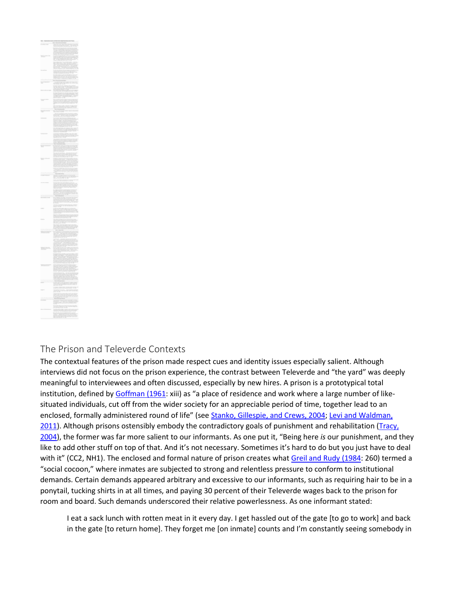

## The Prison and Televerde Contexts

The contextual features of the prison made respect cues and identity issues especially salient. Although interviews did not focus on the prison experience, the contrast between Televerde and "the yard" was deeply meaningful to interviewees and often discussed, especially by new hires. A prison is a prototypical total institution, defined by [Goffman \(1961:](https://journals.sagepub.com/doi/10.1177/0001839216678842) xiii) as "a place of residence and work where a large number of likesituated individuals, cut off from the wider society for an appreciable period of time, together lead to an enclosed, formally administered round of life" (see [Stanko, Gillespie, and Crews, 2004;](https://journals.sagepub.com/doi/10.1177/0001839216678842) Levi and Waldman, [2011\)](https://journals.sagepub.com/doi/10.1177/0001839216678842). Although prisons ostensibly embody the contradictory goals of punishment and rehabilitation [\(Tracy,](https://journals.sagepub.com/doi/10.1177/0001839216678842)  [2004\)](https://journals.sagepub.com/doi/10.1177/0001839216678842), the former was far more salient to our informants. As one put it, "Being here *is* our punishment, and they like to add other stuff on top of that. And it's not necessary. Sometimes it's hard to do but you just have to deal with it" (CC2, NH1). The enclosed and formal nature of prison creates what [Greil and Rudy \(1984:](https://journals.sagepub.com/doi/10.1177/0001839216678842) 260) termed a "social cocoon," where inmates are subjected to strong and relentless pressure to conform to institutional demands. Certain demands appeared arbitrary and excessive to our informants, such as requiring hair to be in a ponytail, tucking shirts in at all times, and paying 30 percent of their Televerde wages back to the prison for room and board. Such demands underscored their relative powerlessness. As one informant stated:

I eat a sack lunch with rotten meat in it every day. I get hassled out of the gate [to go to work] and back in the gate [to return home]. They forget me [on inmate] counts and I'm constantly seeing somebody in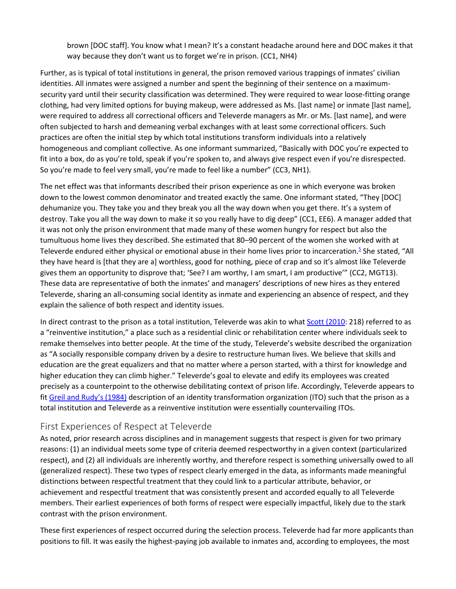brown [DOC staff]. You know what I mean? It's a constant headache around here and DOC makes it that way because they don't want us to forget we're in prison. (CC1, NH4)

Further, as is typical of total institutions in general, the prison removed various trappings of inmates' civilian identities. All inmates were assigned a number and spent the beginning of their sentence on a maximumsecurity yard until their security classification was determined. They were required to wear loose-fitting orange clothing, had very limited options for buying makeup, were addressed as Ms. [last name] or inmate [last name], were required to address all correctional officers and Televerde managers as Mr. or Ms. [last name], and were often subjected to harsh and demeaning verbal exchanges with at least some correctional officers. Such practices are often the initial step by which total institutions transform individuals into a relatively homogeneous and compliant collective. As one informant summarized, "Basically with DOC you're expected to fit into a box, do as you're told, speak if you're spoken to, and always give respect even if you're disrespected. So you're made to feel very small, you're made to feel like a number" (CC3, NH1).

The net effect was that informants described their prison experience as one in which everyone was broken down to the lowest common denominator and treated exactly the same. One informant stated, "They [DOC] dehumanize you. They take you and they break you all the way down when you get there. It's a system of destroy. Take you all the way down to make it so you really have to dig deep" (CC1, EE6). A manager added that it was not only the prison environment that made many of these women hungry for respect but also the tumultuous home lives they described. She estimated that 80–90 percent of the women she worked with at Televerde endured either physical or emotional abuse in their home lives prior to incarceration.<sup>5</sup> She stated, "All they have heard is [that they are a] worthless, good for nothing, piece of crap and so it's almost like Televerde gives them an opportunity to disprove that; 'See? I am worthy, I am smart, I am productive'" (CC2, MGT13). These data are representative of both the inmates' and managers' descriptions of new hires as they entered Televerde, sharing an all-consuming social identity as inmate and experiencing an absence of respect, and they explain the salience of both respect and identity issues.

In direct contrast to the prison as a total institution, Televerde was akin to what [Scott \(2010:](https://journals.sagepub.com/doi/10.1177/0001839216678842) 218) referred to as a "reinventive institution," a place such as a residential clinic or rehabilitation center where individuals seek to remake themselves into better people. At the time of the study, Televerde's website described the organization as "A socially responsible company driven by a desire to restructure human lives. We believe that skills and education are the great equalizers and that no matter where a person started, with a thirst for knowledge and higher education they can climb higher." Televerde's goal to elevate and edify its employees was created precisely as a counterpoint to the otherwise debilitating context of prison life. Accordingly, Televerde appears to fit Greil and [Rudy's \(1984\)](https://journals.sagepub.com/doi/10.1177/0001839216678842) description of an identity transformation organization (ITO) such that the prison as a total institution and Televerde as a reinventive institution were essentially countervailing ITOs.

## First Experiences of Respect at Televerde

As noted, prior research across disciplines and in management suggests that respect is given for two primary reasons: (1) an individual meets some type of criteria deemed respectworthy in a given context (particularized respect), and (2) all individuals are inherently worthy, and therefore respect is something universally owed to all (generalized respect). These two types of respect clearly emerged in the data, as informants made meaningful distinctions between respectful treatment that they could link to a particular attribute, behavior, or achievement and respectful treatment that was consistently present and accorded equally to all Televerde members. Their earliest experiences of both forms of respect were especially impactful, likely due to the stark contrast with the prison environment.

These first experiences of respect occurred during the selection process. Televerde had far more applicants than positions to fill. It was easily the highest-paying job available to inmates and, according to employees, the most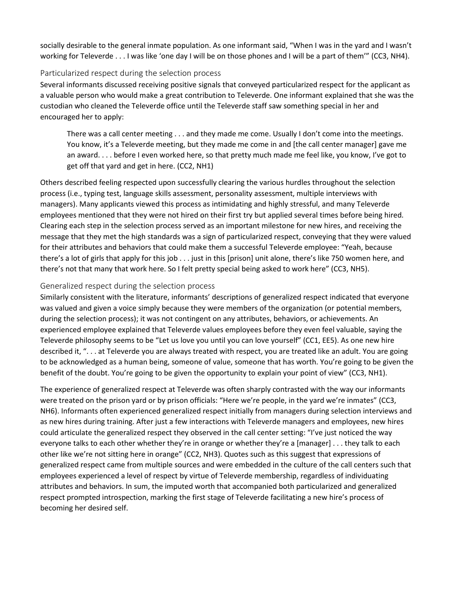socially desirable to the general inmate population. As one informant said, "When I was in the yard and I wasn't working for Televerde . . . I was like 'one day I will be on those phones and I will be a part of them'" (CC3, NH4).

#### Particularized respect during the selection process

Several informants discussed receiving positive signals that conveyed particularized respect for the applicant as a valuable person who would make a great contribution to Televerde. One informant explained that she was the custodian who cleaned the Televerde office until the Televerde staff saw something special in her and encouraged her to apply:

There was a call center meeting . . . and they made me come. Usually I don't come into the meetings. You know, it's a Televerde meeting, but they made me come in and [the call center manager] gave me an award. . . . before I even worked here, so that pretty much made me feel like, you know, I've got to get off that yard and get in here. (CC2, NH1)

Others described feeling respected upon successfully clearing the various hurdles throughout the selection process (i.e., typing test, language skills assessment, personality assessment, multiple interviews with managers). Many applicants viewed this process as intimidating and highly stressful, and many Televerde employees mentioned that they were not hired on their first try but applied several times before being hired. Clearing each step in the selection process served as an important milestone for new hires, and receiving the message that they met the high standards was a sign of particularized respect, conveying that they were valued for their attributes and behaviors that could make them a successful Televerde employee: "Yeah, because there's a lot of girls that apply for this job . . . just in this [prison] unit alone, there's like 750 women here, and there's not that many that work here. So I felt pretty special being asked to work here" (CC3, NH5).

#### Generalized respect during the selection process

Similarly consistent with the literature, informants' descriptions of generalized respect indicated that everyone was valued and given a voice simply because they were members of the organization (or potential members, during the selection process); it was not contingent on any attributes, behaviors, or achievements. An experienced employee explained that Televerde values employees before they even feel valuable, saying the Televerde philosophy seems to be "Let us love you until you can love yourself" (CC1, EE5). As one new hire described it, ". . . at Televerde you are always treated with respect, you are treated like an adult. You are going to be acknowledged as a human being, someone of value, someone that has worth. You're going to be given the benefit of the doubt. You're going to be given the opportunity to explain your point of view" (CC3, NH1).

The experience of generalized respect at Televerde was often sharply contrasted with the way our informants were treated on the prison yard or by prison officials: "Here we're people, in the yard we're inmates" (CC3, NH6). Informants often experienced generalized respect initially from managers during selection interviews and as new hires during training. After just a few interactions with Televerde managers and employees, new hires could articulate the generalized respect they observed in the call center setting: "I've just noticed the way everyone talks to each other whether they're in orange or whether they're a [manager] . . . they talk to each other like we're not sitting here in orange" (CC2, NH3). Quotes such as this suggest that expressions of generalized respect came from multiple sources and were embedded in the culture of the call centers such that employees experienced a level of respect by virtue of Televerde membership, regardless of individuating attributes and behaviors. In sum, the imputed worth that accompanied both particularized and generalized respect prompted introspection, marking the first stage of Televerde facilitating a new hire's process of becoming her desired self.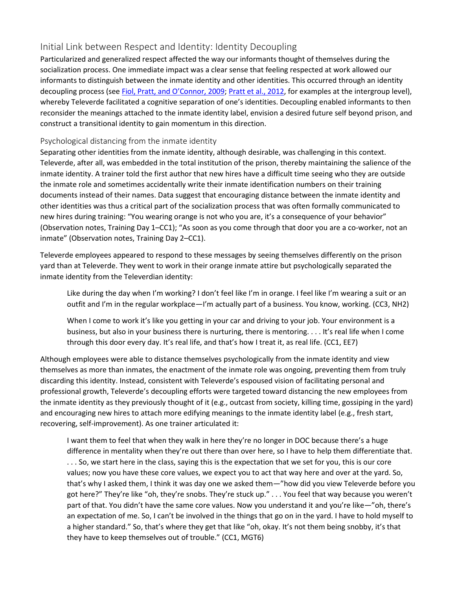## Initial Link between Respect and Identity: Identity Decoupling

Particularized and generalized respect affected the way our informants thought of themselves during the socialization process. One immediate impact was a clear sense that feeling respected at work allowed our informants to distinguish between the inmate identity and other identities. This occurred through an identity decoupling process (see [Fiol, Pratt, and O'Connor, 2009;](https://journals.sagepub.com/doi/10.1177/0001839216678842) [Pratt et al., 2012,](https://journals.sagepub.com/doi/10.1177/0001839216678842) for examples at the intergroup level), whereby Televerde facilitated a cognitive separation of one's identities. Decoupling enabled informants to then reconsider the meanings attached to the inmate identity label, envision a desired future self beyond prison, and construct a transitional identity to gain momentum in this direction.

## Psychological distancing from the inmate identity

Separating other identities from the inmate identity, although desirable, was challenging in this context. Televerde, after all, was embedded in the total institution of the prison, thereby maintaining the salience of the inmate identity. A trainer told the first author that new hires have a difficult time seeing who they are outside the inmate role and sometimes accidentally write their inmate identification numbers on their training documents instead of their names. Data suggest that encouraging distance between the inmate identity and other identities was thus a critical part of the socialization process that was often formally communicated to new hires during training: "You wearing orange is not who you are, it's a consequence of your behavior" (Observation notes, Training Day 1–CC1); "As soon as you come through that door you are a co-worker, not an inmate" (Observation notes, Training Day 2–CC1).

Televerde employees appeared to respond to these messages by seeing themselves differently on the prison yard than at Televerde. They went to work in their orange inmate attire but psychologically separated the inmate identity from the Televerdian identity:

Like during the day when I'm working? I don't feel like I'm in orange. I feel like I'm wearing a suit or an outfit and I'm in the regular workplace—I'm actually part of a business. You know, working. (CC3, NH2)

When I come to work it's like you getting in your car and driving to your job. Your environment is a business, but also in your business there is nurturing, there is mentoring. . . . It's real life when I come through this door every day. It's real life, and that's how I treat it, as real life. (CC1, EE7)

Although employees were able to distance themselves psychologically from the inmate identity and view themselves as more than inmates, the enactment of the inmate role was ongoing, preventing them from truly discarding this identity. Instead, consistent with Televerde's espoused vision of facilitating personal and professional growth, Televerde's decoupling efforts were targeted toward distancing the new employees from the inmate identity as they previously thought of it (e.g., outcast from society, killing time, gossiping in the yard) and encouraging new hires to attach more edifying meanings to the inmate identity label (e.g., fresh start, recovering, self-improvement). As one trainer articulated it:

I want them to feel that when they walk in here they're no longer in DOC because there's a huge difference in mentality when they're out there than over here, so I have to help them differentiate that. . . . So, we start here in the class, saying this is the expectation that we set for you, this is our core values; now you have these core values, we expect you to act that way here and over at the yard. So, that's why I asked them, I think it was day one we asked them—"how did you view Televerde before you got here?" They're like "oh, they're snobs. They're stuck up." . . . You feel that way because you weren't part of that. You didn't have the same core values. Now you understand it and you're like—"oh, there's an expectation of me. So, I can't be involved in the things that go on in the yard. I have to hold myself to a higher standard." So, that's where they get that like "oh, okay. It's not them being snobby, it's that they have to keep themselves out of trouble." (CC1, MGT6)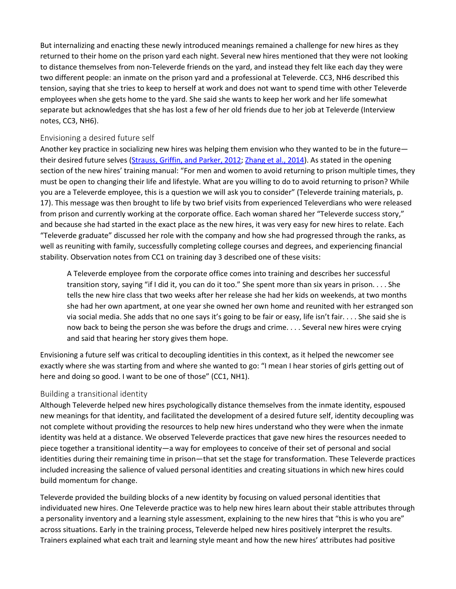But internalizing and enacting these newly introduced meanings remained a challenge for new hires as they returned to their home on the prison yard each night. Several new hires mentioned that they were not looking to distance themselves from non-Televerde friends on the yard, and instead they felt like each day they were two different people: an inmate on the prison yard and a professional at Televerde. CC3, NH6 described this tension, saying that she tries to keep to herself at work and does not want to spend time with other Televerde employees when she gets home to the yard. She said she wants to keep her work and her life somewhat separate but acknowledges that she has lost a few of her old friends due to her job at Televerde (Interview notes, CC3, NH6).

#### Envisioning a desired future self

Another key practice in socializing new hires was helping them envision who they wanted to be in the future their desired future selves [\(Strauss, Griffin, and Parker, 2012;](https://journals.sagepub.com/doi/10.1177/0001839216678842) [Zhang et al., 2014\)](https://journals.sagepub.com/doi/10.1177/0001839216678842). As stated in the opening section of the new hires' training manual: "For men and women to avoid returning to prison multiple times, they must be open to changing their life and lifestyle. What are you willing to do to avoid returning to prison? While you are a Televerde employee, this is a question we will ask you to consider" (Televerde training materials, p. 17). This message was then brought to life by two brief visits from experienced Televerdians who were released from prison and currently working at the corporate office. Each woman shared her "Televerde success story," and because she had started in the exact place as the new hires, it was very easy for new hires to relate. Each "Televerde graduate" discussed her role with the company and how she had progressed through the ranks, as well as reuniting with family, successfully completing college courses and degrees, and experiencing financial stability. Observation notes from CC1 on training day 3 described one of these visits:

A Televerde employee from the corporate office comes into training and describes her successful transition story, saying "if I did it, you can do it too." She spent more than six years in prison. . . . She tells the new hire class that two weeks after her release she had her kids on weekends, at two months she had her own apartment, at one year she owned her own home and reunited with her estranged son via social media. She adds that no one says it's going to be fair or easy, life isn't fair. . . . She said she is now back to being the person she was before the drugs and crime. . . . Several new hires were crying and said that hearing her story gives them hope.

Envisioning a future self was critical to decoupling identities in this context, as it helped the newcomer see exactly where she was starting from and where she wanted to go: "I mean I hear stories of girls getting out of here and doing so good. I want to be one of those" (CC1, NH1).

#### Building a transitional identity

Although Televerde helped new hires psychologically distance themselves from the inmate identity, espoused new meanings for that identity, and facilitated the development of a desired future self, identity decoupling was not complete without providing the resources to help new hires understand who they were when the inmate identity was held at a distance. We observed Televerde practices that gave new hires the resources needed to piece together a transitional identity—a way for employees to conceive of their set of personal and social identities during their remaining time in prison—that set the stage for transformation. These Televerde practices included increasing the salience of valued personal identities and creating situations in which new hires could build momentum for change.

Televerde provided the building blocks of a new identity by focusing on valued personal identities that individuated new hires. One Televerde practice was to help new hires learn about their stable attributes through a personality inventory and a learning style assessment, explaining to the new hires that "this is who you are" across situations. Early in the training process, Televerde helped new hires positively interpret the results. Trainers explained what each trait and learning style meant and how the new hires' attributes had positive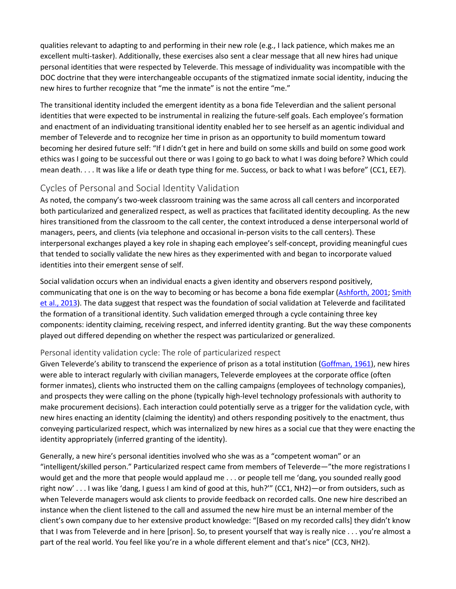qualities relevant to adapting to and performing in their new role (e.g., I lack patience, which makes me an excellent multi-tasker). Additionally, these exercises also sent a clear message that all new hires had unique personal identities that were respected by Televerde. This message of individuality was incompatible with the DOC doctrine that they were interchangeable occupants of the stigmatized inmate social identity, inducing the new hires to further recognize that "me the inmate" is not the entire "me."

The transitional identity included the emergent identity as a bona fide Televerdian and the salient personal identities that were expected to be instrumental in realizing the future-self goals. Each employee's formation and enactment of an individuating transitional identity enabled her to see herself as an agentic individual and member of Televerde and to recognize her time in prison as an opportunity to build momentum toward becoming her desired future self: "If I didn't get in here and build on some skills and build on some good work ethics was I going to be successful out there or was I going to go back to what I was doing before? Which could mean death. . . . It was like a life or death type thing for me. Success, or back to what I was before" (CC1, EE7).

## Cycles of Personal and Social Identity Validation

As noted, the company's two-week classroom training was the same across all call centers and incorporated both particularized and generalized respect, as well as practices that facilitated identity decoupling. As the new hires transitioned from the classroom to the call center, the context introduced a dense interpersonal world of managers, peers, and clients (via telephone and occasional in-person visits to the call centers). These interpersonal exchanges played a key role in shaping each employee's self-concept, providing meaningful cues that tended to socially validate the new hires as they experimented with and began to incorporate valued identities into their emergent sense of self.

Social validation occurs when an individual enacts a given identity and observers respond positively, communicating that one is on the way to becoming or has become a bona fide exemplar [\(Ashforth, 2001;](https://journals.sagepub.com/doi/10.1177/0001839216678842) Smith [et al., 2013\)](https://journals.sagepub.com/doi/10.1177/0001839216678842). The data suggest that respect was the foundation of social validation at Televerde and facilitated the formation of a transitional identity. Such validation emerged through a cycle containing three key components: identity claiming, receiving respect, and inferred identity granting. But the way these components played out differed depending on whether the respect was particularized or generalized.

## Personal identity validation cycle: The role of particularized respect

Given Televerde's ability to transcend the experience of prison as a total institution [\(Goffman, 1961\)](https://journals.sagepub.com/doi/10.1177/0001839216678842), new hires were able to interact regularly with civilian managers, Televerde employees at the corporate office (often former inmates), clients who instructed them on the calling campaigns (employees of technology companies), and prospects they were calling on the phone (typically high-level technology professionals with authority to make procurement decisions). Each interaction could potentially serve as a trigger for the validation cycle, with new hires enacting an identity (claiming the identity) and others responding positively to the enactment, thus conveying particularized respect, which was internalized by new hires as a social cue that they were enacting the identity appropriately (inferred granting of the identity).

Generally, a new hire's personal identities involved who she was as a "competent woman" or an "intelligent/skilled person." Particularized respect came from members of Televerde—"the more registrations I would get and the more that people would applaud me . . . or people tell me 'dang, you sounded really good right now' . . . I was like 'dang, I guess I am kind of good at this, huh?'" (CC1, NH2)—or from outsiders, such as when Televerde managers would ask clients to provide feedback on recorded calls. One new hire described an instance when the client listened to the call and assumed the new hire must be an internal member of the client's own company due to her extensive product knowledge: "[Based on my recorded calls] they didn't know that I was from Televerde and in here [prison]. So, to present yourself that way is really nice . . . you're almost a part of the real world. You feel like you're in a whole different element and that's nice" (CC3, NH2).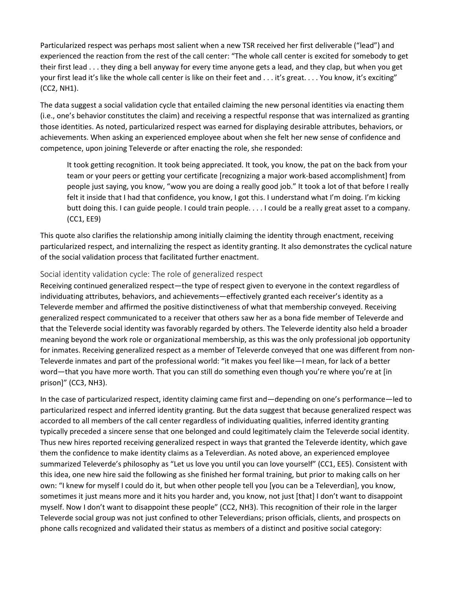Particularized respect was perhaps most salient when a new TSR received her first deliverable ("lead") and experienced the reaction from the rest of the call center: "The whole call center is excited for somebody to get their first lead . . . they ding a bell anyway for every time anyone gets a lead, and they clap, but when you get your first lead it's like the whole call center is like on their feet and . . . it's great. . . . You know, it's exciting" (CC2, NH1).

The data suggest a social validation cycle that entailed claiming the new personal identities via enacting them (i.e., one's behavior constitutes the claim) and receiving a respectful response that was internalized as granting those identities. As noted, particularized respect was earned for displaying desirable attributes, behaviors, or achievements. When asking an experienced employee about when she felt her new sense of confidence and competence, upon joining Televerde or after enacting the role, she responded:

It took getting recognition. It took being appreciated. It took, you know, the pat on the back from your team or your peers or getting your certificate [recognizing a major work-based accomplishment] from people just saying, you know, "wow you are doing a really good job." It took a lot of that before I really felt it inside that I had that confidence, you know, I got this. I understand what I'm doing. I'm kicking butt doing this. I can guide people. I could train people. . . . I could be a really great asset to a company. (CC1, EE9)

This quote also clarifies the relationship among initially claiming the identity through enactment, receiving particularized respect, and internalizing the respect as identity granting. It also demonstrates the cyclical nature of the social validation process that facilitated further enactment.

### Social identity validation cycle: The role of generalized respect

Receiving continued generalized respect—the type of respect given to everyone in the context regardless of individuating attributes, behaviors, and achievements—effectively granted each receiver's identity as a Televerde member and affirmed the positive distinctiveness of what that membership conveyed. Receiving generalized respect communicated to a receiver that others saw her as a bona fide member of Televerde and that the Televerde social identity was favorably regarded by others. The Televerde identity also held a broader meaning beyond the work role or organizational membership, as this was the only professional job opportunity for inmates. Receiving generalized respect as a member of Televerde conveyed that one was different from non-Televerde inmates and part of the professional world: "it makes you feel like—I mean, for lack of a better word—that you have more worth. That you can still do something even though you're where you're at [in prison]" (CC3, NH3).

In the case of particularized respect, identity claiming came first and—depending on one's performance—led to particularized respect and inferred identity granting. But the data suggest that because generalized respect was accorded to all members of the call center regardless of individuating qualities, inferred identity granting typically preceded a sincere sense that one belonged and could legitimately claim the Televerde social identity. Thus new hires reported receiving generalized respect in ways that granted the Televerde identity, which gave them the confidence to make identity claims as a Televerdian. As noted above, an experienced employee summarized Televerde's philosophy as "Let us love you until you can love yourself" (CC1, EE5). Consistent with this idea, one new hire said the following as she finished her formal training, but prior to making calls on her own: "I knew for myself I could do it, but when other people tell you [you can be a Televerdian], you know, sometimes it just means more and it hits you harder and, you know, not just [that] I don't want to disappoint myself. Now I don't want to disappoint these people" (CC2, NH3). This recognition of their role in the larger Televerde social group was not just confined to other Televerdians; prison officials, clients, and prospects on phone calls recognized and validated their status as members of a distinct and positive social category: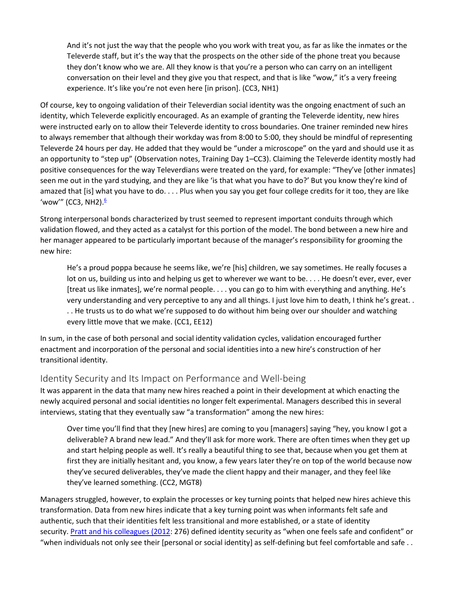And it's not just the way that the people who you work with treat you, as far as like the inmates or the Televerde staff, but it's the way that the prospects on the other side of the phone treat you because they don't know who we are. All they know is that you're a person who can carry on an intelligent conversation on their level and they give you that respect, and that is like "wow," it's a very freeing experience. It's like you're not even here [in prison]. (CC3, NH1)

Of course, key to ongoing validation of their Televerdian social identity was the ongoing enactment of such an identity, which Televerde explicitly encouraged. As an example of granting the Televerde identity, new hires were instructed early on to allow their Televerde identity to cross boundaries. One trainer reminded new hires to always remember that although their workday was from 8:00 to 5:00, they should be mindful of representing Televerde 24 hours per day. He added that they would be "under a microscope" on the yard and should use it as an opportunity to "step up" (Observation notes, Training Day 1–CC3). Claiming the Televerde identity mostly had positive consequences for the way Televerdians were treated on the yard, for example: "They've [other inmates] seen me out in the yard studying, and they are like 'is that what you have to do?' But you know they're kind of amazed that [is] what you have to do. . . . Plus when you say you get four college credits for it too, they are like 'wow'" (CC3, NH2). $6$ 

Strong interpersonal bonds characterized by trust seemed to represent important conduits through which validation flowed, and they acted as a catalyst for this portion of the model. The bond between a new hire and her manager appeared to be particularly important because of the manager's responsibility for grooming the new hire:

He's a proud poppa because he seems like, we're [his] children, we say sometimes. He really focuses a lot on us, building us into and helping us get to wherever we want to be. . . . He doesn't ever, ever, ever [treat us like inmates], we're normal people. . . . you can go to him with everything and anything. He's very understanding and very perceptive to any and all things. I just love him to death, I think he's great. . . . He trusts us to do what we're supposed to do without him being over our shoulder and watching every little move that we make. (CC1, EE12)

In sum, in the case of both personal and social identity validation cycles, validation encouraged further enactment and incorporation of the personal and social identities into a new hire's construction of her transitional identity.

## Identity Security and Its Impact on Performance and Well-being

It was apparent in the data that many new hires reached a point in their development at which enacting the newly acquired personal and social identities no longer felt experimental. Managers described this in several interviews, stating that they eventually saw "a transformation" among the new hires:

Over time you'll find that they [new hires] are coming to you [managers] saying "hey, you know I got a deliverable? A brand new lead." And they'll ask for more work. There are often times when they get up and start helping people as well. It's really a beautiful thing to see that, because when you get them at first they are initially hesitant and, you know, a few years later they're on top of the world because now they've secured deliverables, they've made the client happy and their manager, and they feel like they've learned something. (CC2, MGT8)

Managers struggled, however, to explain the processes or key turning points that helped new hires achieve this transformation. Data from new hires indicate that a key turning point was when informants felt safe and authentic, such that their identities felt less transitional and more established, or a state of identity security. [Pratt and his colleagues \(2012:](https://journals.sagepub.com/doi/10.1177/0001839216678842) 276) defined identity security as "when one feels safe and confident" or "when individuals not only see their [personal or social identity] as self-defining but feel comfortable and safe . .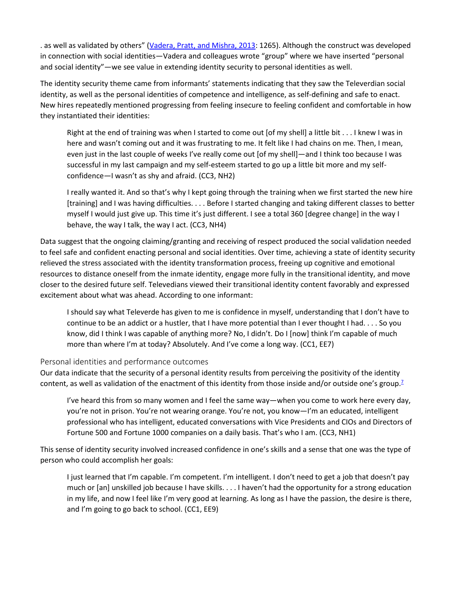. as well as validated by others" [\(Vadera, Pratt, and Mishra, 2013:](https://journals.sagepub.com/doi/10.1177/0001839216678842) 1265). Although the construct was developed in connection with social identities—Vadera and colleagues wrote "group" where we have inserted "personal and social identity"—we see value in extending identity security to personal identities as well.

The identity security theme came from informants' statements indicating that they saw the Televerdian social identity, as well as the personal identities of competence and intelligence, as self-defining and safe to enact. New hires repeatedly mentioned progressing from feeling insecure to feeling confident and comfortable in how they instantiated their identities:

Right at the end of training was when I started to come out [of my shell] a little bit . . . I knew I was in here and wasn't coming out and it was frustrating to me. It felt like I had chains on me. Then, I mean, even just in the last couple of weeks I've really come out [of my shell]—and I think too because I was successful in my last campaign and my self-esteem started to go up a little bit more and my selfconfidence—I wasn't as shy and afraid. (CC3, NH2)

I really wanted it. And so that's why I kept going through the training when we first started the new hire [training] and I was having difficulties. . . . Before I started changing and taking different classes to better myself I would just give up. This time it's just different. I see a total 360 [degree change] in the way I behave, the way I talk, the way I act. (CC3, NH4)

Data suggest that the ongoing claiming/granting and receiving of respect produced the social validation needed to feel safe and confident enacting personal and social identities. Over time, achieving a state of identity security relieved the stress associated with the identity transformation process, freeing up cognitive and emotional resources to distance oneself from the inmate identity, engage more fully in the transitional identity, and move closer to the desired future self. Televedians viewed their transitional identity content favorably and expressed excitement about what was ahead. According to one informant:

I should say what Televerde has given to me is confidence in myself, understanding that I don't have to continue to be an addict or a hustler, that I have more potential than I ever thought I had. . . . So you know, did I think I was capable of anything more? No, I didn't. Do I [now] think I'm capable of much more than where I'm at today? Absolutely. And I've come a long way. (CC1, EE7)

#### Personal identities and performance outcomes

Our data indicate that the security of a personal identity results from perceiving the positivity of the identity content, as well as validation of the enactment of this identity from those inside and/or outside one's group[.](javascript:popRef()<sup>2</sup>

I've heard this from so many women and I feel the same way—when you come to work here every day, you're not in prison. You're not wearing orange. You're not, you know—I'm an educated, intelligent professional who has intelligent, educated conversations with Vice Presidents and CIOs and Directors of Fortune 500 and Fortune 1000 companies on a daily basis. That's who I am. (CC3, NH1)

This sense of identity security involved increased confidence in one's skills and a sense that one was the type of person who could accomplish her goals:

I just learned that I'm capable. I'm competent. I'm intelligent. I don't need to get a job that doesn't pay much or [an] unskilled job because I have skills. . . . I haven't had the opportunity for a strong education in my life, and now I feel like I'm very good at learning. As long as I have the passion, the desire is there, and I'm going to go back to school. (CC1, EE9)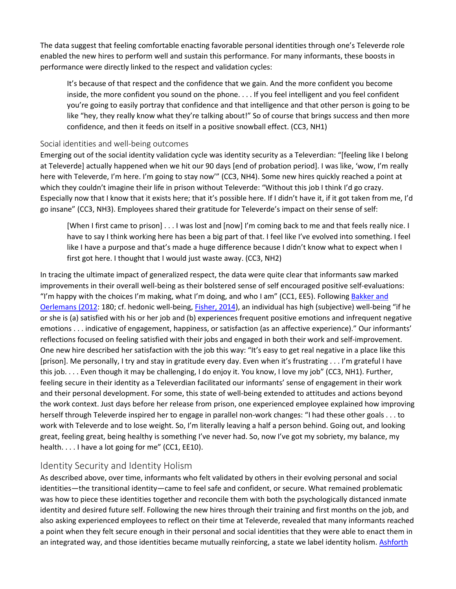The data suggest that feeling comfortable enacting favorable personal identities through one's Televerde role enabled the new hires to perform well and sustain this performance. For many informants, these boosts in performance were directly linked to the respect and validation cycles:

It's because of that respect and the confidence that we gain. And the more confident you become inside, the more confident you sound on the phone. . . . If you feel intelligent and you feel confident you're going to easily portray that confidence and that intelligence and that other person is going to be like "hey, they really know what they're talking about!" So of course that brings success and then more confidence, and then it feeds on itself in a positive snowball effect. (CC3, NH1)

#### Social identities and well-being outcomes

Emerging out of the social identity validation cycle was identity security as a Televerdian: "[feeling like I belong at Televerde] actually happened when we hit our 90 days [end of probation period]. I was like, 'wow, I'm really here with Televerde, I'm here. I'm going to stay now'" (CC3, NH4). Some new hires quickly reached a point at which they couldn't imagine their life in prison without Televerde: "Without this job I think I'd go crazy. Especially now that I know that it exists here; that it's possible here. If I didn't have it, if it got taken from me, I'd go insane" (CC3, NH3). Employees shared their gratitude for Televerde's impact on their sense of self:

[When I first came to prison] . . . I was lost and [now] I'm coming back to me and that feels really nice. I have to say I think working here has been a big part of that. I feel like I've evolved into something. I feel like I have a purpose and that's made a huge difference because I didn't know what to expect when I first got here. I thought that I would just waste away. (CC3, NH2)

In tracing the ultimate impact of generalized respect, the data were quite clear that informants saw marked improvements in their overall well-being as their bolstered sense of self encouraged positive self-evaluations: "I'm happy with the choices I'm making, what I'm doing, and who I am" (CC1, EE5). Following Bakker and [Oerlemans \(2012:](https://journals.sagepub.com/doi/10.1177/0001839216678842) 180; cf. hedonic well-being, [Fisher, 2014\)](https://journals.sagepub.com/doi/10.1177/0001839216678842), an individual has high (subjective) well-being "if he or she is (a) satisfied with his or her job and (b) experiences frequent positive emotions and infrequent negative emotions . . . indicative of engagement, happiness, or satisfaction (as an affective experience)." Our informants' reflections focused on feeling satisfied with their jobs and engaged in both their work and self-improvement. One new hire described her satisfaction with the job this way: "It's easy to get real negative in a place like this [prison]. Me personally, I try and stay in gratitude every day. Even when it's frustrating . . . I'm grateful I have this job. . . . Even though it may be challenging, I do enjoy it. You know, I love my job" (CC3, NH1). Further, feeling secure in their identity as a Televerdian facilitated our informants' sense of engagement in their work and their personal development. For some, this state of well-being extended to attitudes and actions beyond the work context. Just days before her release from prison, one experienced employee explained how improving herself through Televerde inspired her to engage in parallel non-work changes: "I had these other goals . . . to work with Televerde and to lose weight. So, I'm literally leaving a half a person behind. Going out, and looking great, feeling great, being healthy is something I've never had. So, now I've got my sobriety, my balance, my health. . . . I have a lot going for me" (CC1, EE10).

## Identity Security and Identity Holism

As described above, over time, informants who felt validated by others in their evolving personal and social identities—the transitional identity—came to feel safe and confident, or secure. What remained problematic was how to piece these identities together and reconcile them with both the psychologically distanced inmate identity and desired future self. Following the new hires through their training and first months on the job, and also asking experienced employees to reflect on their time at Televerde, revealed that many informants reached a point when they felt secure enough in their personal and social identities that they were able to enact them in an integrated way, and those identities became mutually reinforcing, a state we label identity holism. Ashforth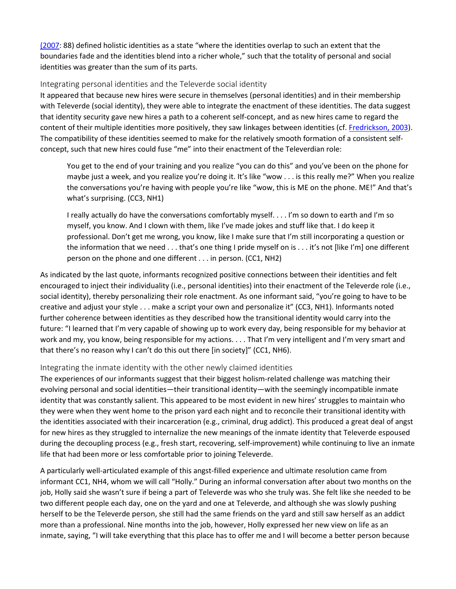[\(2007:](https://journals.sagepub.com/doi/10.1177/0001839216678842) 88) defined holistic identities as a state "where the identities overlap to such an extent that the boundaries fade and the identities blend into a richer whole," such that the totality of personal and social identities was greater than the sum of its parts.

#### Integrating personal identities and the Televerde social identity

It appeared that because new hires were secure in themselves (personal identities) and in their membership with Televerde (social identity), they were able to integrate the enactment of these identities. The data suggest that identity security gave new hires a path to a coherent self-concept, and as new hires came to regard the content of their multiple identities more positively, they saw linkages between identities (cf. [Fredrickson, 2003\)](https://journals.sagepub.com/doi/10.1177/0001839216678842). The compatibility of these identities seemed to make for the relatively smooth formation of a consistent selfconcept, such that new hires could fuse "me" into their enactment of the Televerdian role:

You get to the end of your training and you realize "you can do this" and you've been on the phone for maybe just a week, and you realize you're doing it. It's like "wow . . . is this really me?" When you realize the conversations you're having with people you're like "wow, this is ME on the phone. ME!" And that's what's surprising. (CC3, NH1)

I really actually do have the conversations comfortably myself. . . . I'm so down to earth and I'm so myself, you know. And I clown with them, like I've made jokes and stuff like that. I do keep it professional. Don't get me wrong, you know, like I make sure that I'm still incorporating a question or the information that we need . . . that's one thing I pride myself on is . . . it's not [like I'm] one different person on the phone and one different . . . in person. (CC1, NH2)

As indicated by the last quote, informants recognized positive connections between their identities and felt encouraged to inject their individuality (i.e., personal identities) into their enactment of the Televerde role (i.e., social identity), thereby personalizing their role enactment. As one informant said, "you're going to have to be creative and adjust your style . . . make a script your own and personalize it" (CC3, NH1). Informants noted further coherence between identities as they described how the transitional identity would carry into the future: "I learned that I'm very capable of showing up to work every day, being responsible for my behavior at work and my, you know, being responsible for my actions. . . . That I'm very intelligent and I'm very smart and that there's no reason why I can't do this out there [in society]" (CC1, NH6).

### Integrating the inmate identity with the other newly claimed identities

The experiences of our informants suggest that their biggest holism-related challenge was matching their evolving personal and social identities—their transitional identity—with the seemingly incompatible inmate identity that was constantly salient. This appeared to be most evident in new hires' struggles to maintain who they were when they went home to the prison yard each night and to reconcile their transitional identity with the identities associated with their incarceration (e.g., criminal, drug addict). This produced a great deal of angst for new hires as they struggled to internalize the new meanings of the inmate identity that Televerde espoused during the decoupling process (e.g., fresh start, recovering, self-improvement) while continuing to live an inmate life that had been more or less comfortable prior to joining Televerde.

A particularly well-articulated example of this angst-filled experience and ultimate resolution came from informant CC1, NH4, whom we will call "Holly." During an informal conversation after about two months on the job, Holly said she wasn't sure if being a part of Televerde was who she truly was. She felt like she needed to be two different people each day, one on the yard and one at Televerde, and although she was slowly pushing herself to be the Televerde person, she still had the same friends on the yard and still saw herself as an addict more than a professional. Nine months into the job, however, Holly expressed her new view on life as an inmate, saying, "I will take everything that this place has to offer me and I will become a better person because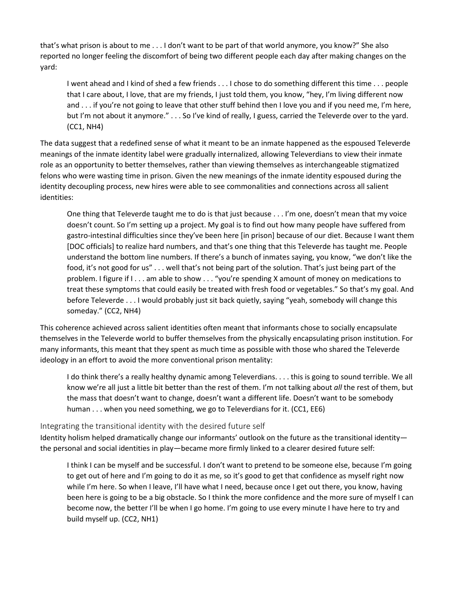that's what prison is about to me . . . I don't want to be part of that world anymore, you know?" She also reported no longer feeling the discomfort of being two different people each day after making changes on the yard:

I went ahead and I kind of shed a few friends . . . I chose to do something different this time . . . people that I care about, I love, that are my friends, I just told them, you know, "hey, I'm living different now and . . . if you're not going to leave that other stuff behind then I love you and if you need me, I'm here, but I'm not about it anymore." . . . So I've kind of really, I guess, carried the Televerde over to the yard. (CC1, NH4)

The data suggest that a redefined sense of what it meant to be an inmate happened as the espoused Televerde meanings of the inmate identity label were gradually internalized, allowing Televerdians to view their inmate role as an opportunity to better themselves, rather than viewing themselves as interchangeable stigmatized felons who were wasting time in prison. Given the new meanings of the inmate identity espoused during the identity decoupling process, new hires were able to see commonalities and connections across all salient identities:

One thing that Televerde taught me to do is that just because . . . I'm one, doesn't mean that my voice doesn't count. So I'm setting up a project. My goal is to find out how many people have suffered from gastro-intestinal difficulties since they've been here [in prison] because of our diet. Because I want them [DOC officials] to realize hard numbers, and that's one thing that this Televerde has taught me. People understand the bottom line numbers. If there's a bunch of inmates saying, you know, "we don't like the food, it's not good for us" . . . well that's not being part of the solution. That's just being part of the problem. I figure if I . . . am able to show . . . "you're spending X amount of money on medications to treat these symptoms that could easily be treated with fresh food or vegetables." So that's my goal. And before Televerde . . . I would probably just sit back quietly, saying "yeah, somebody will change this someday." (CC2, NH4)

This coherence achieved across salient identities often meant that informants chose to socially encapsulate themselves in the Televerde world to buffer themselves from the physically encapsulating prison institution. For many informants, this meant that they spent as much time as possible with those who shared the Televerde ideology in an effort to avoid the more conventional prison mentality:

I do think there's a really healthy dynamic among Televerdians. . . . this is going to sound terrible. We all know we're all just a little bit better than the rest of them. I'm not talking about *all* the rest of them, but the mass that doesn't want to change, doesn't want a different life. Doesn't want to be somebody human . . . when you need something, we go to Televerdians for it. (CC1, EE6)

#### Integrating the transitional identity with the desired future self

Identity holism helped dramatically change our informants' outlook on the future as the transitional identity the personal and social identities in play—became more firmly linked to a clearer desired future self:

I think I can be myself and be successful. I don't want to pretend to be someone else, because I'm going to get out of here and I'm going to do it as me, so it's good to get that confidence as myself right now while I'm here. So when I leave, I'll have what I need, because once I get out there, you know, having been here is going to be a big obstacle. So I think the more confidence and the more sure of myself I can become now, the better I'll be when I go home. I'm going to use every minute I have here to try and build myself up. (CC2, NH1)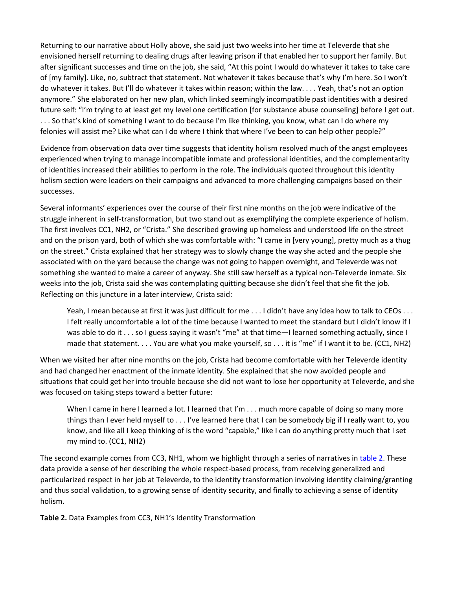Returning to our narrative about Holly above, she said just two weeks into her time at Televerde that she envisioned herself returning to dealing drugs after leaving prison if that enabled her to support her family. But after significant successes and time on the job, she said, "At this point I would do whatever it takes to take care of [my family]. Like, no, subtract that statement. Not whatever it takes because that's why I'm here. So I won't do whatever it takes. But I'll do whatever it takes within reason; within the law. . . . Yeah, that's not an option anymore." She elaborated on her new plan, which linked seemingly incompatible past identities with a desired future self: "I'm trying to at least get my level one certification [for substance abuse counseling] before I get out. . . . So that's kind of something I want to do because I'm like thinking, you know, what can I do where my felonies will assist me? Like what can I do where I think that where I've been to can help other people?"

Evidence from observation data over time suggests that identity holism resolved much of the angst employees experienced when trying to manage incompatible inmate and professional identities, and the complementarity of identities increased their abilities to perform in the role. The individuals quoted throughout this identity holism section were leaders on their campaigns and advanced to more challenging campaigns based on their successes.

Several informants' experiences over the course of their first nine months on the job were indicative of the struggle inherent in self-transformation, but two stand out as exemplifying the complete experience of holism. The first involves CC1, NH2, or "Crista." She described growing up homeless and understood life on the street and on the prison yard, both of which she was comfortable with: "I came in [very young], pretty much as a thug on the street." Crista explained that her strategy was to slowly change the way she acted and the people she associated with on the yard because the change was not going to happen overnight, and Televerde was not something she wanted to make a career of anyway. She still saw herself as a typical non-Televerde inmate. Six weeks into the job, Crista said she was contemplating quitting because she didn't feel that she fit the job. Reflecting on this juncture in a later interview, Crista said:

Yeah, I mean because at first it was just difficult for me . . . I didn't have any idea how to talk to CEOs . . . I felt really uncomfortable a lot of the time because I wanted to meet the standard but I didn't know if I was able to do it . . . so I guess saying it wasn't "me" at that time—I learned something actually, since I made that statement. . . . You are what you make yourself, so . . . it is "me" if I want it to be. (CC1, NH2)

When we visited her after nine months on the job, Crista had become comfortable with her Televerde identity and had changed her enactment of the inmate identity. She explained that she now avoided people and situations that could get her into trouble because she did not want to lose her opportunity at Televerde, and she was focused on taking steps toward a better future:

When I came in here I learned a lot. I learned that I'm . . . much more capable of doing so many more things than I ever held myself to . . . I've learned here that I can be somebody big if I really want to, you know, and like all I keep thinking of is the word "capable," like I can do anything pretty much that I set my mind to. (CC1, NH2)

The second example comes from CC3, NH1, whom we highlight through a series of narratives in [table 2.](https://journals.sagepub.com/doi/10.1177/0001839216678842) These data provide a sense of her describing the whole respect-based process, from receiving generalized and particularized respect in her job at Televerde, to the identity transformation involving identity claiming/granting and thus social validation, to a growing sense of identity security, and finally to achieving a sense of identity holism.

**Table 2.** Data Examples from CC3, NH1's Identity Transformation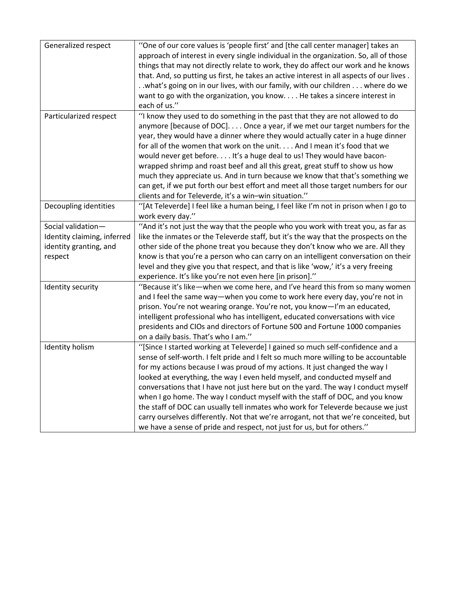| Generalized respect         | "One of our core values is 'people first' and [the call center manager] takes an                                   |
|-----------------------------|--------------------------------------------------------------------------------------------------------------------|
|                             | approach of interest in every single individual in the organization. So, all of those                              |
|                             | things that may not directly relate to work, they do affect our work and he knows                                  |
|                             | that. And, so putting us first, he takes an active interest in all aspects of our lives.                           |
|                             | . .what's going on in our lives, with our family, with our children where do we                                    |
|                             | want to go with the organization, you know He takes a sincere interest in                                          |
|                             | each of us."                                                                                                       |
| Particularized respect      | "I know they used to do something in the past that they are not allowed to do                                      |
|                             | anymore [because of DOC]. Once a year, if we met our target numbers for the                                        |
|                             | year, they would have a dinner where they would actually cater in a huge dinner                                    |
|                             | for all of the women that work on the unit. And I mean it's food that we                                           |
|                             | would never get before. It's a huge deal to us! They would have bacon-                                             |
|                             | wrapped shrimp and roast beef and all this great, great stuff to show us how                                       |
|                             | much they appreciate us. And in turn because we know that that's something we                                      |
|                             | can get, if we put forth our best effort and meet all those target numbers for our                                 |
|                             | clients and for Televerde, it's a win-win situation."                                                              |
| Decoupling identities       | "[At Televerde] I feel like a human being, I feel like I'm not in prison when I go to                              |
|                             | work every day."                                                                                                   |
| Social validation-          | "And it's not just the way that the people who you work with treat you, as far as                                  |
| Identity claiming, inferred | like the inmates or the Televerde staff, but it's the way that the prospects on the                                |
| identity granting, and      | other side of the phone treat you because they don't know who we are. All they                                     |
| respect                     | know is that you're a person who can carry on an intelligent conversation on their                                 |
|                             | level and they give you that respect, and that is like 'wow,' it's a very freeing                                  |
|                             | experience. It's like you're not even here [in prison]."                                                           |
| Identity security           | "Because it's like-when we come here, and I've heard this from so many women                                       |
|                             | and I feel the same way-when you come to work here every day, you're not in                                        |
|                             | prison. You're not wearing orange. You're not, you know-I'm an educated,                                           |
|                             |                                                                                                                    |
|                             | intelligent professional who has intelligent, educated conversations with vice                                     |
|                             | presidents and CIOs and directors of Fortune 500 and Fortune 1000 companies<br>on a daily basis. That's who I am." |
|                             |                                                                                                                    |
| Identity holism             | "[Since I started working at Televerde] I gained so much self-confidence and a                                     |
|                             | sense of self-worth. I felt pride and I felt so much more willing to be accountable                                |
|                             | for my actions because I was proud of my actions. It just changed the way I                                        |
|                             | looked at everything, the way I even held myself, and conducted myself and                                         |
|                             | conversations that I have not just here but on the yard. The way I conduct myself                                  |
|                             | when I go home. The way I conduct myself with the staff of DOC, and you know                                       |
|                             | the staff of DOC can usually tell inmates who work for Televerde because we just                                   |
|                             | carry ourselves differently. Not that we're arrogant, not that we're conceited, but                                |
|                             | we have a sense of pride and respect, not just for us, but for others."                                            |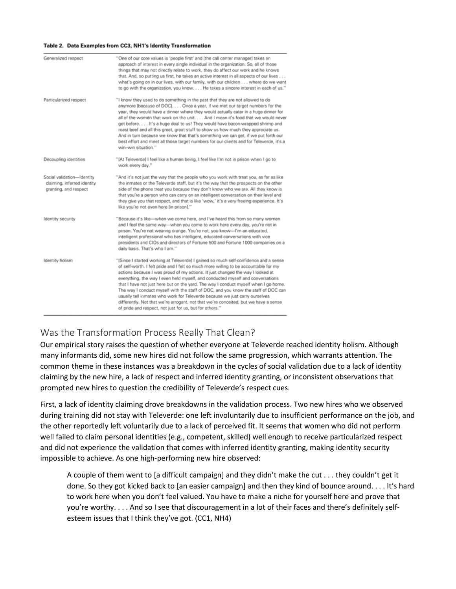#### Table 2. Data Examples from CC3, NH1's Identity Transformation

| Generalized respect                                                                | "One of our core values is 'people first' and [the call center manager] takes an<br>approach of interest in every single individual in the organization. So, all of those<br>things that may not directly relate to work, they do affect our work and he knows<br>that. And, so putting us first, he takes an active interest in all aspects of our lives<br>what's going on in our lives, with our family, with our children where do we want<br>to go with the organization, you know. He takes a sincere interest in each of us."                                                                                                                                                                                                                          |
|------------------------------------------------------------------------------------|---------------------------------------------------------------------------------------------------------------------------------------------------------------------------------------------------------------------------------------------------------------------------------------------------------------------------------------------------------------------------------------------------------------------------------------------------------------------------------------------------------------------------------------------------------------------------------------------------------------------------------------------------------------------------------------------------------------------------------------------------------------|
| Particularized respect                                                             | "I know they used to do something in the past that they are not allowed to do<br>anymore [because of DOC]. Once a year, if we met our target numbers for the<br>year, they would have a dinner where they would actually cater in a huge dinner for<br>all of the women that work on the unit. And I mean it's food that we would never<br>get before. It's a huge deal to us! They would have bacon-wrapped shrimp and<br>roast beef and all this great, great stuff to show us how much they appreciate us.<br>And in turn because we know that that's something we can get, if we put forth our<br>best effort and meet all those target numbers for our clients and for Televerde, it's a<br>win-win situation."                                          |
| Decoupling identities                                                              | "[At Televerde] I feel like a human being, I feel like I'm not in prison when I go to<br>work every day."                                                                                                                                                                                                                                                                                                                                                                                                                                                                                                                                                                                                                                                     |
| Social validation-Identity<br>claiming, inferred identity<br>granting, and respect | "And it's not just the way that the people who you work with treat you, as far as like<br>the inmates or the Televerde staff, but it's the way that the prospects on the other<br>side of the phone treat you because they don't know who we are. All they know is<br>that you're a person who can carry on an intelligent conversation on their level and<br>they give you that respect, and that is like 'wow,' it's a very freeing experience. It's<br>like you're not even here (in prison)."                                                                                                                                                                                                                                                             |
| Identity security                                                                  | "Because it's like--when we come here, and I've heard this from so many women<br>and I feel the same way-when you come to work here every day, you're not in<br>prison. You're not wearing orange. You're not, you know--I'm an educated,<br>intelligent professional who has intelligent, educated conversations with vice<br>presidents and CIOs and directors of Fortune 500 and Fortune 1000 companies on a<br>daily basis. That's who I am."                                                                                                                                                                                                                                                                                                             |
| Identity holism                                                                    | "[Since I started working at Televerde] I gained so much self-confidence and a sense<br>of self-worth. I felt pride and I felt so much more willing to be accountable for my<br>actions because I was proud of my actions. It just changed the way I looked at<br>everything, the way I even held myself, and conducted myself and conversations<br>that I have not just here but on the yard. The way I conduct myself when I go home.<br>The way I conduct myself with the staff of DOC, and you know the staff of DOC can<br>usually tell inmates who work for Televerde because we just carry ourselves<br>differently. Not that we're arrogant, not that we're conceited, but we have a sense<br>of pride and respect, not just for us, but for others." |

## Was the Transformation Process Really That Clean?

Our empirical story raises the question of whether everyone at Televerde reached identity holism. Although many informants did, some new hires did not follow the same progression, which warrants attention. The common theme in these instances was a breakdown in the cycles of social validation due to a lack of identity claiming by the new hire, a lack of respect and inferred identity granting, or inconsistent observations that prompted new hires to question the credibility of Televerde's respect cues.

First, a lack of identity claiming drove breakdowns in the validation process. Two new hires who we observed during training did not stay with Televerde: one left involuntarily due to insufficient performance on the job, and the other reportedly left voluntarily due to a lack of perceived fit. It seems that women who did not perform well failed to claim personal identities (e.g., competent, skilled) well enough to receive particularized respect and did not experience the validation that comes with inferred identity granting, making identity security impossible to achieve. As one high-performing new hire observed:

A couple of them went to [a difficult campaign] and they didn't make the cut . . . they couldn't get it done. So they got kicked back to [an easier campaign] and then they kind of bounce around. . . . It's hard to work here when you don't feel valued. You have to make a niche for yourself here and prove that you're worthy. . . . And so I see that discouragement in a lot of their faces and there's definitely selfesteem issues that I think they've got. (CC1, NH4)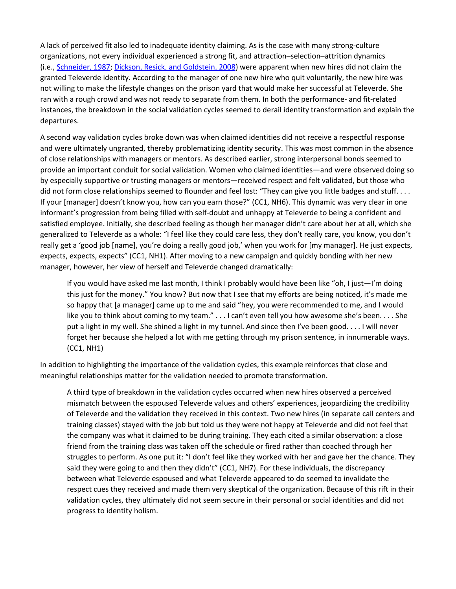A lack of perceived fit also led to inadequate identity claiming. As is the case with many strong-culture organizations, not every individual experienced a strong fit, and attraction–selection–attrition dynamics (i.e., [Schneider, 1987;](https://journals.sagepub.com/doi/10.1177/0001839216678842) [Dickson, Resick, and Goldstein, 2008\)](https://journals.sagepub.com/doi/10.1177/0001839216678842) were apparent when new hires did not claim the granted Televerde identity. According to the manager of one new hire who quit voluntarily, the new hire was not willing to make the lifestyle changes on the prison yard that would make her successful at Televerde. She ran with a rough crowd and was not ready to separate from them. In both the performance- and fit-related instances, the breakdown in the social validation cycles seemed to derail identity transformation and explain the departures.

A second way validation cycles broke down was when claimed identities did not receive a respectful response and were ultimately ungranted, thereby problematizing identity security. This was most common in the absence of close relationships with managers or mentors. As described earlier, strong interpersonal bonds seemed to provide an important conduit for social validation. Women who claimed identities—and were observed doing so by especially supportive or trusting managers or mentors—received respect and felt validated, but those who did not form close relationships seemed to flounder and feel lost: "They can give you little badges and stuff.... If your [manager] doesn't know you, how can you earn those?" (CC1, NH6). This dynamic was very clear in one informant's progression from being filled with self-doubt and unhappy at Televerde to being a confident and satisfied employee. Initially, she described feeling as though her manager didn't care about her at all, which she generalized to Televerde as a whole: "I feel like they could care less, they don't really care, you know, you don't really get a 'good job [name], you're doing a really good job,' when you work for [my manager]. He just expects, expects, expects, expects" (CC1, NH1). After moving to a new campaign and quickly bonding with her new manager, however, her view of herself and Televerde changed dramatically:

If you would have asked me last month, I think I probably would have been like "oh, I just—I'm doing this just for the money." You know? But now that I see that my efforts are being noticed, it's made me so happy that [a manager] came up to me and said "hey, you were recommended to me, and I would like you to think about coming to my team." . . . I can't even tell you how awesome she's been. . . . She put a light in my well. She shined a light in my tunnel. And since then I've been good. . . . I will never forget her because she helped a lot with me getting through my prison sentence, in innumerable ways. (CC1, NH1)

In addition to highlighting the importance of the validation cycles, this example reinforces that close and meaningful relationships matter for the validation needed to promote transformation.

A third type of breakdown in the validation cycles occurred when new hires observed a perceived mismatch between the espoused Televerde values and others' experiences, jeopardizing the credibility of Televerde and the validation they received in this context. Two new hires (in separate call centers and training classes) stayed with the job but told us they were not happy at Televerde and did not feel that the company was what it claimed to be during training. They each cited a similar observation: a close friend from the training class was taken off the schedule or fired rather than coached through her struggles to perform. As one put it: "I don't feel like they worked with her and gave her the chance. They said they were going to and then they didn't" (CC1, NH7). For these individuals, the discrepancy between what Televerde espoused and what Televerde appeared to do seemed to invalidate the respect cues they received and made them very skeptical of the organization. Because of this rift in their validation cycles, they ultimately did not seem secure in their personal or social identities and did not progress to identity holism.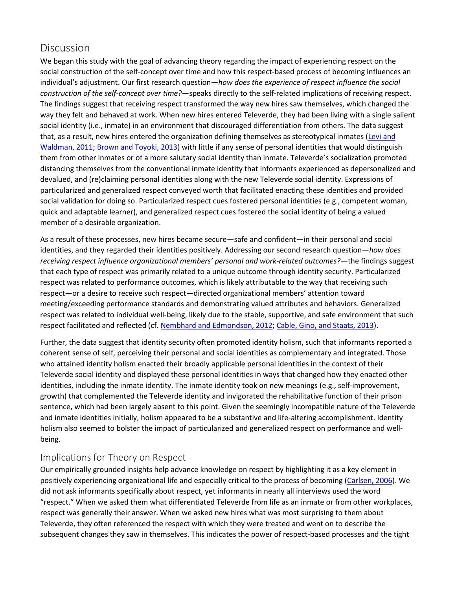## **Discussion**

We began this study with the goal of advancing theory regarding the impact of experiencing respect on the social construction of the self-concept over time and how this respect-based process of becoming influences an individual's adjustment. Our first research question—*how does the experience of respect influence the social construction of the self-concept over time?*—speaks directly to the self-related implications of receiving respect. The findings suggest that receiving respect transformed the way new hires saw themselves, which changed the way they felt and behaved at work. When new hires entered Televerde, they had been living with a single salient social identity (i.e., inmate) in an environment that discouraged differentiation from others. The data suggest that, as a result, new hires entered the organization defining themselves as stereotypical inmates (Levi and [Waldman, 2011;](https://journals.sagepub.com/doi/10.1177/0001839216678842) [Brown and Toyoki, 2013\)](https://journals.sagepub.com/doi/10.1177/0001839216678842) with little if any sense of personal identities that would distinguish them from other inmates or of a more salutary social identity than inmate. Televerde's socialization promoted distancing themselves from the conventional inmate identity that informants experienced as depersonalized and devalued, and (re)claiming personal identities along with the new Televerde social identity. Expressions of particularized and generalized respect conveyed worth that facilitated enacting these identities and provided social validation for doing so. Particularized respect cues fostered personal identities (e.g., competent woman, quick and adaptable learner), and generalized respect cues fostered the social identity of being a valued member of a desirable organization.

As a result of these processes, new hires became secure—safe and confident—in their personal and social identities, and they regarded their identities positively. Addressing our second research question—*how does receiving respect influence organizational members' personal and work-related outcomes?*—the findings suggest that each type of respect was primarily related to a unique outcome through identity security. Particularized respect was related to performance outcomes, which is likely attributable to the way that receiving such respect—or a desire to receive such respect—directed organizational members' attention toward meeting/exceeding performance standards and demonstrating valued attributes and behaviors. Generalized respect was related to individual well-being, likely due to the stable, supportive, and safe environment that such respect facilitated and reflected (cf. [Nembhard and Edmondson, 2012;](https://journals.sagepub.com/doi/10.1177/0001839216678842) [Cable, Gino, and Staats, 2013\)](https://journals.sagepub.com/doi/10.1177/0001839216678842).

Further, the data suggest that identity security often promoted identity holism, such that informants reported a coherent sense of self, perceiving their personal and social identities as complementary and integrated. Those who attained identity holism enacted their broadly applicable personal identities in the context of their Televerde social identity and displayed these personal identities in ways that changed how they enacted other identities, including the inmate identity. The inmate identity took on new meanings (e.g., self-improvement, growth) that complemented the Televerde identity and invigorated the rehabilitative function of their prison sentence, which had been largely absent to this point. Given the seemingly incompatible nature of the Televerde and inmate identities initially, holism appeared to be a substantive and life-altering accomplishment. Identity holism also seemed to bolster the impact of particularized and generalized respect on performance and wellbeing.

## Implications for Theory on Respect

Our empirically grounded insights help advance knowledge on respect by highlighting it as a key element in positively experiencing organizational life and especially critical to the process of becoming [\(Carlsen, 2006\)](https://journals.sagepub.com/doi/10.1177/0001839216678842). We did not ask informants specifically about respect, yet informants in nearly all interviews used the word "respect." When we asked them what differentiated Televerde from life as an inmate or from other workplaces, respect was generally their answer. When we asked new hires what was most surprising to them about Televerde, they often referenced the respect with which they were treated and went on to describe the subsequent changes they saw in themselves. This indicates the power of respect-based processes and the tight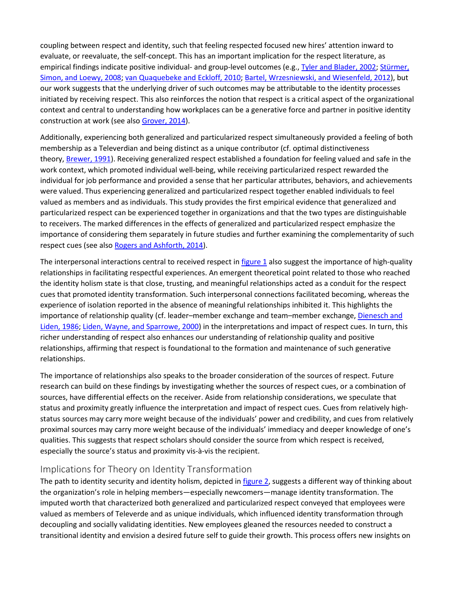coupling between respect and identity, such that feeling respected focused new hires' attention inward to evaluate, or reevaluate, the self-concept. This has an important implication for the respect literature, as empirical findings indicate positive individual- and group-level outcomes (e.g., [Tyler and Blader, 2002;](https://journals.sagepub.com/doi/10.1177/0001839216678842) [Stürmer,](https://journals.sagepub.com/doi/10.1177/0001839216678842)  [Simon, and Loewy, 2008;](https://journals.sagepub.com/doi/10.1177/0001839216678842) [van Quaquebeke and Eckloff, 2010;](https://journals.sagepub.com/doi/10.1177/0001839216678842) [Bartel, Wrzesniewski, and Wiesenfeld, 2012\)](https://journals.sagepub.com/doi/10.1177/0001839216678842), but our work suggests that the underlying driver of such outcomes may be attributable to the identity processes initiated by receiving respect. This also reinforces the notion that respect is a critical aspect of the organizational context and central to understanding how workplaces can be a generative force and partner in positive identity construction at work (see also [Grover, 2014\)](https://journals.sagepub.com/doi/10.1177/0001839216678842).

Additionally, experiencing both generalized and particularized respect simultaneously provided a feeling of both membership as a Televerdian and being distinct as a unique contributor (cf. optimal distinctiveness theory, [Brewer, 1991\)](https://journals.sagepub.com/doi/10.1177/0001839216678842). Receiving generalized respect established a foundation for feeling valued and safe in the work context, which promoted individual well-being, while receiving particularized respect rewarded the individual for job performance and provided a sense that her particular attributes, behaviors, and achievements were valued. Thus experiencing generalized and particularized respect together enabled individuals to feel valued as members and as individuals. This study provides the first empirical evidence that generalized and particularized respect can be experienced together in organizations and that the two types are distinguishable to receivers. The marked differences in the effects of generalized and particularized respect emphasize the importance of considering them separately in future studies and further examining the complementarity of such respect cues (see also [Rogers and Ashforth, 2014\)](https://journals.sagepub.com/doi/10.1177/0001839216678842).

The interpersonal interactions central to received respect in [figure 1](https://journals.sagepub.com/doi/10.1177/0001839216678842) also suggest the importance of high-quality relationships in facilitating respectful experiences. An emergent theoretical point related to those who reached the identity holism state is that close, trusting, and meaningful relationships acted as a conduit for the respect cues that promoted identity transformation. Such interpersonal connections facilitated becoming, whereas the experience of isolation reported in the absence of meaningful relationships inhibited it. This highlights the importance of relationship quality (cf. leader–member exchange and team–member exchange, [Dienesch and](https://journals.sagepub.com/doi/10.1177/0001839216678842)  [Liden, 1986;](https://journals.sagepub.com/doi/10.1177/0001839216678842) [Liden, Wayne, and Sparrowe, 2000\)](https://journals.sagepub.com/doi/10.1177/0001839216678842) in the interpretations and impact of respect cues. In turn, this richer understanding of respect also enhances our understanding of relationship quality and positive relationships, affirming that respect is foundational to the formation and maintenance of such generative relationships.

The importance of relationships also speaks to the broader consideration of the sources of respect. Future research can build on these findings by investigating whether the sources of respect cues, or a combination of sources, have differential effects on the receiver. Aside from relationship considerations, we speculate that status and proximity greatly influence the interpretation and impact of respect cues. Cues from relatively highstatus sources may carry more weight because of the individuals' power and credibility, and cues from relatively proximal sources may carry more weight because of the individuals' immediacy and deeper knowledge of one's qualities. This suggests that respect scholars should consider the source from which respect is received, especially the source's status and proximity vis-à-vis the recipient.

## Implications for Theory on Identity Transformation

The path to identity security and identity holism, depicted in [figure 2,](https://journals.sagepub.com/doi/10.1177/0001839216678842) suggests a different way of thinking about the organization's role in helping members—especially newcomers—manage identity transformation. The imputed worth that characterized both generalized and particularized respect conveyed that employees were valued as members of Televerde and as unique individuals, which influenced identity transformation through decoupling and socially validating identities. New employees gleaned the resources needed to construct a transitional identity and envision a desired future self to guide their growth. This process offers new insights on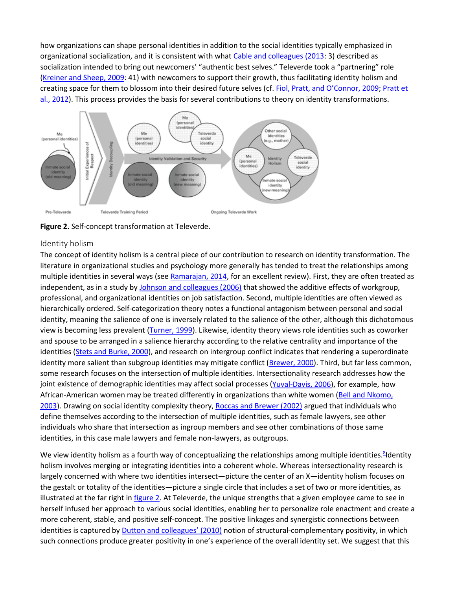how organizations can shape personal identities in addition to the social identities typically emphasized in organizational socialization, and it is consistent with what [Cable and colleagues \(2013:](https://journals.sagepub.com/doi/10.1177/0001839216678842) 3) described as socialization intended to bring out newcomers' "authentic best selves." Televerde took a "partnering" role [\(Kreiner and Sheep, 2009:](https://journals.sagepub.com/doi/10.1177/0001839216678842) 41) with newcomers to support their growth, thus facilitating identity holism and creating space for them to blossom into their desired future selves (cf. [Fiol, Pratt, and O'Connor, 2009;](https://journals.sagepub.com/doi/10.1177/0001839216678842) [Pratt et](https://journals.sagepub.com/doi/10.1177/0001839216678842)  [al., 2012\)](https://journals.sagepub.com/doi/10.1177/0001839216678842). This process provides the basis for several contributions to theory on identity transformations.



**Figure 2.** Self-concept transformation at Televerde.

### Identity holism

The concept of identity holism is a central piece of our contribution to research on identity transformation. The literature in organizational studies and psychology more generally has tended to treat the relationships among multiple identities in several ways (see [Ramarajan, 2014,](https://journals.sagepub.com/doi/10.1177/0001839216678842) for an excellent review). First, they are often treated as independent, as in a study by [Johnson and colleagues \(2006\)](https://journals.sagepub.com/doi/10.1177/0001839216678842) that showed the additive effects of workgroup, professional, and organizational identities on job satisfaction. Second, multiple identities are often viewed as hierarchically ordered. Self-categorization theory notes a functional antagonism between personal and social identity, meaning the salience of one is inversely related to the salience of the other, although this dichotomous view is becoming less prevalent [\(Turner, 1999\)](https://journals.sagepub.com/doi/10.1177/0001839216678842). Likewise, identity theory views role identities such as coworker and spouse to be arranged in a salience hierarchy according to the relative centrality and importance of the identities [\(Stets and Burke, 2000\)](https://journals.sagepub.com/doi/10.1177/0001839216678842), and research on intergroup conflict indicates that rendering a superordinate identity more salient than subgroup identities may mitigate conflict [\(Brewer, 2000\)](https://journals.sagepub.com/doi/10.1177/0001839216678842). Third, but far less common, some research focuses on the intersection of multiple identities. Intersectionality research addresses how the joint existence of demographic identities may affect social processes [\(Yuval-Davis, 2006\)](https://journals.sagepub.com/doi/10.1177/0001839216678842), for example, how African-American women may be treated differently in organizations than white women [\(Bell and Nkomo,](https://journals.sagepub.com/doi/10.1177/0001839216678842)  [2003\)](https://journals.sagepub.com/doi/10.1177/0001839216678842). Drawing on social identity complexity theory, [Roccas and Brewer \(2002\)](https://journals.sagepub.com/doi/10.1177/0001839216678842) argued that individuals who define themselves according to the intersection of multiple identities, such as female lawyers, see other individuals who share that intersection as ingroup members and see other combinations of those same identities, in this case male lawyers and female non-lawyers, as outgroups.

We view identity holism as a fourth way of conceptualizing the relationships among multiple identities.<sup>8</sup>Identity holism involves merging or integrating identities into a coherent whole. Whereas intersectionality research is largely concerned with where two identities intersect—picture the center of an X—identity holism focuses on the gestalt or totality of the identities—picture a single circle that includes a set of two or more identities, as illustrated at the far right in [figure 2.](https://journals.sagepub.com/doi/10.1177/0001839216678842) At Televerde, the unique strengths that a given employee came to see in herself infused her approach to various social identities, enabling her to personalize role enactment and create a more coherent, stable, and positive self-concept. The positive linkages and synergistic connections between identities is captured by [Dutton and colleagues' \(2010\)](https://journals.sagepub.com/doi/10.1177/0001839216678842) notion of structural-complementary positivity, in which such connections produce greater positivity in one's experience of the overall identity set. We suggest that this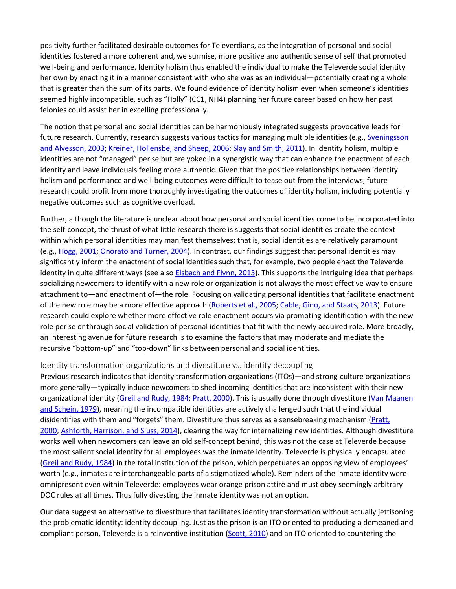positivity further facilitated desirable outcomes for Televerdians, as the integration of personal and social identities fostered a more coherent and, we surmise, more positive and authentic sense of self that promoted well-being and performance. Identity holism thus enabled the individual to make the Televerde social identity her own by enacting it in a manner consistent with who she was as an individual—potentially creating a whole that is greater than the sum of its parts. We found evidence of identity holism even when someone's identities seemed highly incompatible, such as "Holly" (CC1, NH4) planning her future career based on how her past felonies could assist her in excelling professionally.

The notion that personal and social identities can be harmoniously integrated suggests provocative leads for future research. Currently, research suggests various tactics for managing multiple identities (e.g., Sveningsson [and Alvesson, 2003;](https://journals.sagepub.com/doi/10.1177/0001839216678842) [Kreiner, Hollensbe, and Sheep, 2006;](https://journals.sagepub.com/doi/10.1177/0001839216678842) [Slay and Smith, 2011\)](https://journals.sagepub.com/doi/10.1177/0001839216678842). In identity holism, multiple identities are not "managed" per se but are yoked in a synergistic way that can enhance the enactment of each identity and leave individuals feeling more authentic. Given that the positive relationships between identity holism and performance and well-being outcomes were difficult to tease out from the interviews, future research could profit from more thoroughly investigating the outcomes of identity holism, including potentially negative outcomes such as cognitive overload.

Further, although the literature is unclear about how personal and social identities come to be incorporated into the self-concept, the thrust of what little research there is suggests that social identities create the context within which personal identities may manifest themselves; that is, social identities are relatively paramount (e.g., [Hogg, 2001;](https://journals.sagepub.com/doi/10.1177/0001839216678842) [Onorato and Turner, 2004\)](https://journals.sagepub.com/doi/10.1177/0001839216678842). In contrast, our findings suggest that personal identities may significantly inform the enactment of social identities such that, for example, two people enact the Televerde identity in quite different ways (see also [Elsbach and Flynn, 2013\)](https://journals.sagepub.com/doi/10.1177/0001839216678842). This supports the intriguing idea that perhaps socializing newcomers to identify with a new role or organization is not always the most effective way to ensure attachment to—and enactment of—the role. Focusing on validating personal identities that facilitate enactment of the new role may be a more effective approach [\(Roberts et al., 2005;](https://journals.sagepub.com/doi/10.1177/0001839216678842) [Cable, Gino, and Staats, 2013\)](https://journals.sagepub.com/doi/10.1177/0001839216678842). Future research could explore whether more effective role enactment occurs via promoting identification with the new role per se or through social validation of personal identities that fit with the newly acquired role. More broadly, an interesting avenue for future research is to examine the factors that may moderate and mediate the recursive "bottom-up" and "top-down" links between personal and social identities.

#### Identity transformation organizations and divestiture vs. identity decoupling

Previous research indicates that identity transformation organizations (ITOs)—and strong-culture organizations more generally—typically induce newcomers to shed incoming identities that are inconsistent with their new organizational identity [\(Greil and Rudy, 1984;](https://journals.sagepub.com/doi/10.1177/0001839216678842) [Pratt, 2000\)](https://journals.sagepub.com/doi/10.1177/0001839216678842). This is usually done through divestiture [\(Van Maanen](https://journals.sagepub.com/doi/10.1177/0001839216678842)  [and Schein, 1979\)](https://journals.sagepub.com/doi/10.1177/0001839216678842), meaning the incompatible identities are actively challenged such that the individual disidentifies with them and "forgets" them. Divestiture thus serves as a sensebreaking mechanism [\(Pratt,](https://journals.sagepub.com/doi/10.1177/0001839216678842)  [2000;](https://journals.sagepub.com/doi/10.1177/0001839216678842) [Ashforth, Harrison, and Sluss, 2014\)](https://journals.sagepub.com/doi/10.1177/0001839216678842), clearing the way for internalizing new identities. Although divestiture works well when newcomers can leave an old self-concept behind, this was not the case at Televerde because the most salient social identity for all employees was the inmate identity. Televerde is physically encapsulated [\(Greil and Rudy, 1984\)](https://journals.sagepub.com/doi/10.1177/0001839216678842) in the total institution of the prison, which perpetuates an opposing view of employees' worth (e.g., inmates are interchangeable parts of a stigmatized whole). Reminders of the inmate identity were omnipresent even within Televerde: employees wear orange prison attire and must obey seemingly arbitrary DOC rules at all times. Thus fully divesting the inmate identity was not an option.

Our data suggest an alternative to divestiture that facilitates identity transformation without actually jettisoning the problematic identity: identity decoupling. Just as the prison is an ITO oriented to producing a demeaned and compliant person, Televerde is a reinventive institution [\(Scott, 2010\)](https://journals.sagepub.com/doi/10.1177/0001839216678842) and an ITO oriented to countering the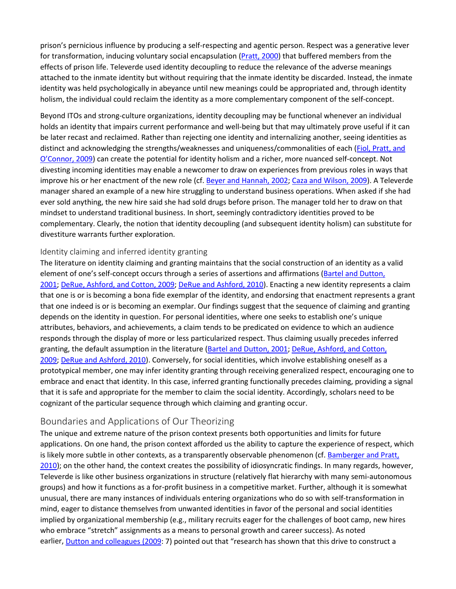prison's pernicious influence by producing a self-respecting and agentic person. Respect was a generative lever for transformation, inducing voluntary social encapsulation [\(Pratt, 2000\)](https://journals.sagepub.com/doi/10.1177/0001839216678842) that buffered members from the effects of prison life. Televerde used identity decoupling to reduce the relevance of the adverse meanings attached to the inmate identity but without requiring that the inmate identity be discarded. Instead, the inmate identity was held psychologically in abeyance until new meanings could be appropriated and, through identity holism, the individual could reclaim the identity as a more complementary component of the self-concept.

Beyond ITOs and strong-culture organizations, identity decoupling may be functional whenever an individual holds an identity that impairs current performance and well-being but that may ultimately prove useful if it can be later recast and reclaimed. Rather than rejecting one identity and internalizing another, seeing identities as distinct and acknowledging the strengths/weaknesses and uniqueness/commonalities of each [\(Fiol, Pratt, and](https://journals.sagepub.com/doi/10.1177/0001839216678842)  [O'Connor, 2009\)](https://journals.sagepub.com/doi/10.1177/0001839216678842) can create the potential for identity holism and a richer, more nuanced self-concept. Not divesting incoming identities may enable a newcomer to draw on experiences from previous roles in ways that improve his or her enactment of the new role (cf. [Beyer and Hannah, 2002;](https://journals.sagepub.com/doi/10.1177/0001839216678842) [Caza and Wilson, 2009\)](https://journals.sagepub.com/doi/10.1177/0001839216678842). A Televerde manager shared an example of a new hire struggling to understand business operations. When asked if she had ever sold anything, the new hire said she had sold drugs before prison. The manager told her to draw on that mindset to understand traditional business. In short, seemingly contradictory identities proved to be complementary. Clearly, the notion that identity decoupling (and subsequent identity holism) can substitute for divestiture warrants further exploration.

#### Identity claiming and inferred identity granting

The literature on identity claiming and granting maintains that the social construction of an identity as a valid element of one's self-concept occurs through a series of assertions and affirmations [\(Bartel and Dutton,](https://journals.sagepub.com/doi/10.1177/0001839216678842)  [2001;](https://journals.sagepub.com/doi/10.1177/0001839216678842) [DeRue, Ashford, and Cotton, 2009;](https://journals.sagepub.com/doi/10.1177/0001839216678842) [DeRue and Ashford, 2010\)](https://journals.sagepub.com/doi/10.1177/0001839216678842). Enacting a new identity represents a claim that one is or is becoming a bona fide exemplar of the identity, and endorsing that enactment represents a grant that one indeed is or is becoming an exemplar. Our findings suggest that the sequence of claiming and granting depends on the identity in question. For personal identities, where one seeks to establish one's unique attributes, behaviors, and achievements, a claim tends to be predicated on evidence to which an audience responds through the display of more or less particularized respect. Thus claiming usually precedes inferred granting, the default assumption in the literature [\(Bartel and Dutton, 2001;](https://journals.sagepub.com/doi/10.1177/0001839216678842) [DeRue, Ashford, and Cotton,](https://journals.sagepub.com/doi/10.1177/0001839216678842)  [2009;](https://journals.sagepub.com/doi/10.1177/0001839216678842) [DeRue and Ashford, 2010\)](https://journals.sagepub.com/doi/10.1177/0001839216678842). Conversely, for social identities, which involve establishing oneself as a prototypical member, one may infer identity granting through receiving generalized respect, encouraging one to embrace and enact that identity. In this case, inferred granting functionally precedes claiming, providing a signal that it is safe and appropriate for the member to claim the social identity. Accordingly, scholars need to be cognizant of the particular sequence through which claiming and granting occur.

## Boundaries and Applications of Our Theorizing

The unique and extreme nature of the prison context presents both opportunities and limits for future applications. On one hand, the prison context afforded us the ability to capture the experience of respect, which is likely more subtle in other contexts, as a transparently observable phenomenon (cf. Bamberger and Pratt, [2010\)](https://journals.sagepub.com/doi/10.1177/0001839216678842); on the other hand, the context creates the possibility of idiosyncratic findings. In many regards, however, Televerde is like other business organizations in structure (relatively flat hierarchy with many semi-autonomous groups) and how it functions as a for-profit business in a competitive market. Further, although it is somewhat unusual, there are many instances of individuals entering organizations who do so with self-transformation in mind, eager to distance themselves from unwanted identities in favor of the personal and social identities implied by organizational membership (e.g., military recruits eager for the challenges of boot camp, new hires who embrace "stretch" assignments as a means to personal growth and career success). As noted earlier, [Dutton and colleagues \(2009:](https://journals.sagepub.com/doi/10.1177/0001839216678842) 7) pointed out that "research has shown that this drive to construct a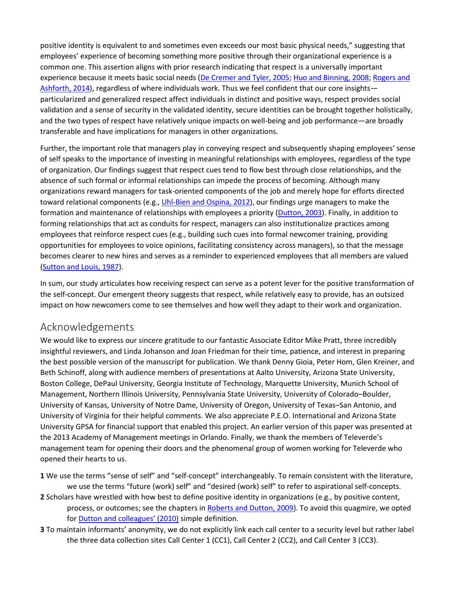positive identity is equivalent to and sometimes even exceeds our most basic physical needs," suggesting that employees' experience of becoming something more positive through their organizational experience is a common one. This assertion aligns with prior research indicating that respect is a universally important experience because it meets basic social needs (De Cremer [and Tyler, 2005;](https://journals.sagepub.com/doi/10.1177/0001839216678842) [Huo and Binning, 2008;](https://journals.sagepub.com/doi/10.1177/0001839216678842) [Rogers and](https://journals.sagepub.com/doi/10.1177/0001839216678842)  [Ashforth, 2014\)](https://journals.sagepub.com/doi/10.1177/0001839216678842), regardless of where individuals work. Thus we feel confident that our core insights particularized and generalized respect affect individuals in distinct and positive ways, respect provides social validation and a sense of security in the validated identity, secure identities can be brought together holistically, and the two types of respect have relatively unique impacts on well-being and job performance—are broadly transferable and have implications for managers in other organizations.

Further, the important role that managers play in conveying respect and subsequently shaping employees' sense of self speaks to the importance of investing in meaningful relationships with employees, regardless of the type of organization. Our findings suggest that respect cues tend to flow best through close relationships, and the absence of such formal or informal relationships can impede the process of becoming. Although many organizations reward managers for task-oriented components of the job and merely hope for efforts directed toward relational components (e.g., [Uhl-Bien and Ospina, 2012\)](https://journals.sagepub.com/doi/10.1177/0001839216678842), our findings urge managers to make the formation and maintenance of relationships with employees a priority [\(Dutton, 2003\)](https://journals.sagepub.com/doi/10.1177/0001839216678842). Finally, in addition to forming relationships that act as conduits for respect, managers can also institutionalize practices among employees that reinforce respect cues (e.g., building such cues into formal newcomer training, providing opportunities for employees to voice opinions, facilitating consistency across managers), so that the message becomes clearer to new hires and serves as a reminder to experienced employees that all members are valued [\(Sutton and Louis, 1987\)](https://journals.sagepub.com/doi/10.1177/0001839216678842).

In sum, our study articulates how receiving respect can serve as a potent lever for the positive transformation of the self-concept. Our emergent theory suggests that respect, while relatively easy to provide, has an outsized impact on how newcomers come to see themselves and how well they adapt to their work and organization.

## Acknowledgements

We would like to express our sincere gratitude to our fantastic Associate Editor Mike Pratt, three incredibly insightful reviewers, and Linda Johanson and Joan Friedman for their time, patience, and interest in preparing the best possible version of the manuscript for publication. We thank Denny Gioia, Peter Hom, Glen Kreiner, and Beth Schinoff, along with audience members of presentations at Aalto University, Arizona State University, Boston College, DePaul University, Georgia Institute of Technology, Marquette University, Munich School of Management, Northern Illinois University, Pennsylvania State University, University of Colorado–Boulder, University of Kansas, University of Notre Dame, University of Oregon, University of Texas–San Antonio, and University of Virginia for their helpful comments. We also appreciate P.E.O. International and Arizona State University GPSA for financial support that enabled this project. An earlier version of this paper was presented at the 2013 Academy of Management meetings in Orlando. Finally, we thank the members of Televerde's management team for opening their doors and the phenomenal group of women working for Televerde who opened their hearts to us.

- **1** We use the terms "sense of self" and "self-concept" interchangeably. To remain consistent with the literature, we use the terms "future (work) self" and "desired (work) self" to refer to aspirational self-concepts.
- **2** Scholars have wrestled with how best to define positive identity in organizations (e.g., by positive content, process, or outcomes; see the chapters in [Roberts and Dutton,](https://journals.sagepub.com/doi/10.1177/0001839216678842) 2009). To avoid this quagmire, we opted for **[Dutton and colleagues' \(2010\)](https://journals.sagepub.com/doi/10.1177/0001839216678842)** simple definition.
- **3** To maintain informants' anonymity, we do not explicitly link each call center to a security level but rather label the three data collection sites Call Center 1 (CC1), Call Center 2 (CC2), and Call Center 3 (CC3).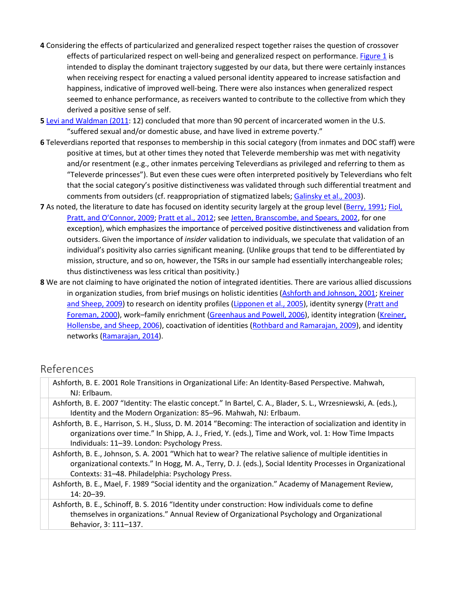- **4** Considering the effects of particularized and generalized respect together raises the question of crossover effects of particularized respect on well-being and generalized respect on performance. [Figure 1](https://journals.sagepub.com/doi/10.1177/0001839216678842) is intended to display the dominant trajectory suggested by our data, but there were certainly instances when receiving respect for enacting a valued personal identity appeared to increase satisfaction and happiness, indicative of improved well-being. There were also instances when generalized respect seemed to enhance performance, as receivers wanted to contribute to the collective from which they derived a positive sense of self.
- **5** [Levi and Waldman \(2011:](https://journals.sagepub.com/doi/10.1177/0001839216678842) 12) concluded that more than 90 percent of incarcerated women in the U.S. "suffered sexual and/or domestic abuse, and have lived in extreme poverty."
- **6** Televerdians reported that responses to membership in this social category (from inmates and DOC staff) were positive at times, but at other times they noted that Televerde membership was met with negativity and/or resentment (e.g., other inmates perceiving Televerdians as privileged and referring to them as "Televerde princesses"). But even these cues were often interpreted positively by Televerdians who felt that the social category's positive distinctiveness was validated through such differential treatment and comments from outsiders (cf. reappropriation of stigmatized labels; [Galinsky et al., 2003\)](https://journals.sagepub.com/doi/10.1177/0001839216678842).
- **7** As noted, the literature to date has focused on identity security largely at the group level [\(Berry, 1991;](https://journals.sagepub.com/doi/10.1177/0001839216678842) Fiol, [Pratt, and O'Connor, 2009;](https://journals.sagepub.com/doi/10.1177/0001839216678842) [Pratt et al., 2012;](https://journals.sagepub.com/doi/10.1177/0001839216678842) see [Jetten, Branscombe, and Spears, 2002,](https://journals.sagepub.com/doi/10.1177/0001839216678842) for one exception), which emphasizes the importance of perceived positive distinctiveness and validation from outsiders. Given the importance of *insider* validation to individuals, we speculate that validation of an individual's positivity also carries significant meaning. (Unlike groups that tend to be differentiated by mission, structure, and so on, however, the TSRs in our sample had essentially interchangeable roles; thus distinctiveness was less critical than positivity.)
- **8** We are not claiming to have originated the notion of integrated identities. There are various allied discussions in organization studies, from brief musings on holistic identities [\(Ashforth and Johnson, 2001;](https://journals.sagepub.com/doi/10.1177/0001839216678842) [Kreiner](https://journals.sagepub.com/doi/10.1177/0001839216678842)  [and Sheep, 2009\)](https://journals.sagepub.com/doi/10.1177/0001839216678842) to research on identity profiles [\(Lipponen et al., 2005\)](https://journals.sagepub.com/doi/10.1177/0001839216678842), identity synergy [\(Pratt and](https://journals.sagepub.com/doi/10.1177/0001839216678842)  [Foreman, 2000\)](https://journals.sagepub.com/doi/10.1177/0001839216678842), work-family enrichment [\(Greenhaus and Powell, 2006\)](https://journals.sagepub.com/doi/10.1177/0001839216678842), identity integration (Kreiner, [Hollensbe, and Sheep, 2006\)](https://journals.sagepub.com/doi/10.1177/0001839216678842), coactivation of identities [\(Rothbard and Ramarajan, 2009\)](https://journals.sagepub.com/doi/10.1177/0001839216678842), and identity networks [\(Ramarajan, 2014\)](https://journals.sagepub.com/doi/10.1177/0001839216678842).

## References

| Ashforth, B. E. 2001 Role Transitions in Organizational Life: An Identity-Based Perspective. Mahwah,<br>NJ: Erlbaum.                                                                                                                                                       |
|----------------------------------------------------------------------------------------------------------------------------------------------------------------------------------------------------------------------------------------------------------------------------|
| Ashforth, B. E. 2007 "Identity: The elastic concept." In Bartel, C. A., Blader, S. L., Wrzesniewski, A. (eds.),<br>Identity and the Modern Organization: 85-96. Mahwah, NJ: Erlbaum.                                                                                       |
| Ashforth, B. E., Harrison, S. H., Sluss, D. M. 2014 "Becoming: The interaction of socialization and identity in<br>organizations over time." In Shipp, A. J., Fried, Y. (eds.), Time and Work, vol. 1: How Time Impacts<br>Individuals: 11-39. London: Psychology Press.   |
| Ashforth, B. E., Johnson, S. A. 2001 "Which hat to wear? The relative salience of multiple identities in<br>organizational contexts." In Hogg, M. A., Terry, D. J. (eds.), Social Identity Processes in Organizational<br>Contexts: 31-48. Philadelphia: Psychology Press. |
| Ashforth, B. E., Mael, F. 1989 "Social identity and the organization." Academy of Management Review,<br>$14:20 - 39.$                                                                                                                                                      |
| Ashforth, B. E., Schinoff, B. S. 2016 "Identity under construction: How individuals come to define<br>themselves in organizations." Annual Review of Organizational Psychology and Organizational<br>Behavior, 3: 111-137.                                                 |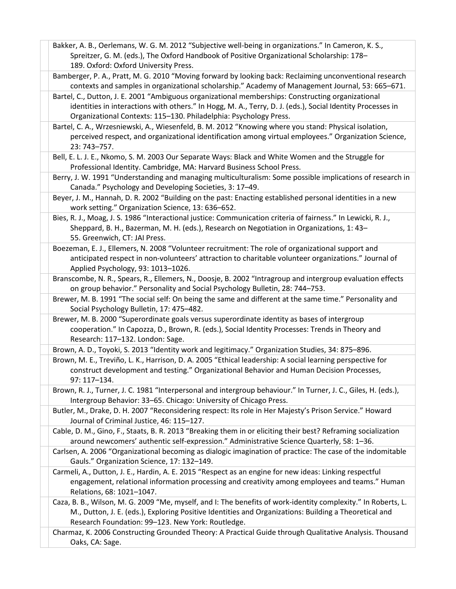| Bakker, A. B., Oerlemans, W. G. M. 2012 "Subjective well-being in organizations." In Cameron, K. S., |
|------------------------------------------------------------------------------------------------------|
| Spreitzer, G. M. (eds.), The Oxford Handbook of Positive Organizational Scholarship: 178–            |
| 189. Oxford: Oxford University Press.                                                                |

- Bamberger, P. A., Pratt, M. G. 2010 "Moving forward by looking back: Reclaiming unconventional research contexts and samples in organizational scholarship." Academy of Management Journal, 53: 665–671.
- Bartel, C., Dutton, J. E. 2001 "Ambiguous organizational memberships: Constructing organizational identities in interactions with others." In Hogg, M. A., Terry, D. J. (eds.), Social Identity Processes in Organizational Contexts: 115–130. Philadelphia: Psychology Press.

Bartel, C. A., Wrzesniewski, A., Wiesenfeld, B. M. 2012 "Knowing where you stand: Physical isolation, perceived respect, and organizational identification among virtual employees." Organization Science, 23: 743–757.

Bell, E. L. J. E., Nkomo, S. M. 2003 Our Separate Ways: Black and White Women and the Struggle for Professional Identity. Cambridge, MA: Harvard Business School Press.

Berry, J. W. 1991 "Understanding and managing multiculturalism: Some possible implications of research in Canada." Psychology and Developing Societies, 3: 17–49.

Beyer, J. M., Hannah, D. R. 2002 "Building on the past: Enacting established personal identities in a new work setting." Organization Science, 13: 636–652.

- Bies, R. J., Moag, J. S. 1986 "Interactional justice: Communication criteria of fairness." In Lewicki, R. J., Sheppard, B. H., Bazerman, M. H. (eds.), Research on Negotiation in Organizations, 1: 43– 55. Greenwich, CT: JAI Press.
- Boezeman, E. J., Ellemers, N. 2008 "Volunteer recruitment: The role of organizational support and anticipated respect in non-volunteers' attraction to charitable volunteer organizations." Journal of Applied Psychology, 93: 1013–1026.
- Branscombe, N. R., Spears, R., Ellemers, N., Doosje, B. 2002 "Intragroup and intergroup evaluation effects on group behavior." Personality and Social Psychology Bulletin, 28: 744–753.

Brewer, M. B. 1991 "The social self: On being the same and different at the same time." Personality and Social Psychology Bulletin, 17: 475–482.

Brewer, M. B. 2000 "Superordinate goals versus superordinate identity as bases of intergroup cooperation." In Capozza, D., Brown, R. (eds.), Social Identity Processes: Trends in Theory and Research: 117–132. London: Sage.

Brown, A. D., Toyoki, S. 2013 "Identity work and legitimacy." Organization Studies, 34: 875–896.

Brown, M. E., Treviño, L. K., Harrison, D. A. 2005 "Ethical leadership: A social learning perspective for construct development and testing." Organizational Behavior and Human Decision Processes, 97: 117–134.

Brown, R. J., Turner, J. C. 1981 "Interpersonal and intergroup behaviour." In Turner, J. C., Giles, H. (eds.), Intergroup Behavior: 33–65. Chicago: University of Chicago Press.

Butler, M., Drake, D. H. 2007 "Reconsidering respect: Its role in Her Majesty's Prison Service." Howard Journal of Criminal Justice, 46: 115–127.

Cable, D. M., Gino, F., Staats, B. R. 2013 "Breaking them in or eliciting their best? Reframing socialization around newcomers' authentic self-expression." Administrative Science Quarterly, 58: 1–36.

- Carlsen, A. 2006 "Organizational becoming as dialogic imagination of practice: The case of the indomitable Gauls." Organization Science, 17: 132–149.
- Carmeli, A., Dutton, J. E., Hardin, A. E. 2015 "Respect as an engine for new ideas: Linking respectful engagement, relational information processing and creativity among employees and teams." Human Relations, 68: 1021–1047.
- Caza, B. B., Wilson, M. G. 2009 "Me, myself, and I: The benefits of work-identity complexity." In Roberts, L. M., Dutton, J. E. (eds.), Exploring Positive Identities and Organizations: Building a Theoretical and Research Foundation: 99–123. New York: Routledge.
- Charmaz, K. 2006 Constructing Grounded Theory: A Practical Guide through Qualitative Analysis. Thousand Oaks, CA: Sage.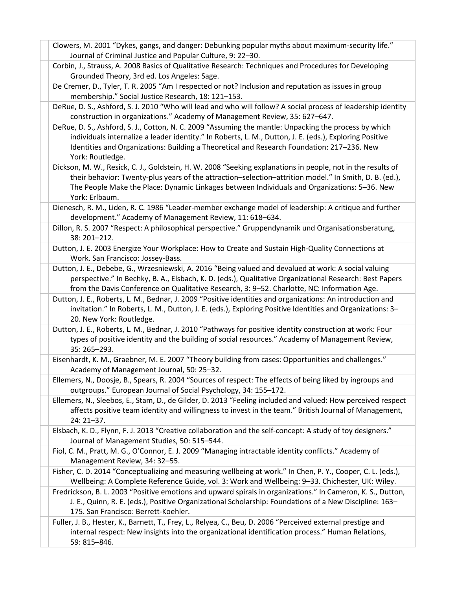| Clowers, M. 2001 "Dykes, gangs, and danger: Debunking popular myths about maximum-security life."<br>Journal of Criminal Justice and Popular Culture, 9: 22-30.                                                                                                                                                                         |
|-----------------------------------------------------------------------------------------------------------------------------------------------------------------------------------------------------------------------------------------------------------------------------------------------------------------------------------------|
| Corbin, J., Strauss, A. 2008 Basics of Qualitative Research: Techniques and Procedures for Developing<br>Grounded Theory, 3rd ed. Los Angeles: Sage.                                                                                                                                                                                    |
| De Cremer, D., Tyler, T. R. 2005 "Am I respected or not? Inclusion and reputation as issues in group<br>membership." Social Justice Research, 18: 121-153.                                                                                                                                                                              |
| DeRue, D. S., Ashford, S. J. 2010 "Who will lead and who will follow? A social process of leadership identity<br>construction in organizations." Academy of Management Review, 35: 627-647.                                                                                                                                             |
| DeRue, D. S., Ashford, S. J., Cotton, N. C. 2009 "Assuming the mantle: Unpacking the process by which<br>individuals internalize a leader identity." In Roberts, L. M., Dutton, J. E. (eds.), Exploring Positive<br>Identities and Organizations: Building a Theoretical and Research Foundation: 217-236. New<br>York: Routledge.      |
| Dickson, M. W., Resick, C. J., Goldstein, H. W. 2008 "Seeking explanations in people, not in the results of<br>their behavior: Twenty-plus years of the attraction-selection-attrition model." In Smith, D. B. (ed.),<br>The People Make the Place: Dynamic Linkages between Individuals and Organizations: 5-36. New<br>York: Erlbaum. |
| Dienesch, R. M., Liden, R. C. 1986 "Leader-member exchange model of leadership: A critique and further<br>development." Academy of Management Review, 11: 618-634.                                                                                                                                                                      |
| Dillon, R. S. 2007 "Respect: A philosophical perspective." Gruppendynamik und Organisationsberatung,<br>38: 201-212.                                                                                                                                                                                                                    |
| Dutton, J. E. 2003 Energize Your Workplace: How to Create and Sustain High-Quality Connections at<br>Work. San Francisco: Jossey-Bass.                                                                                                                                                                                                  |
| Dutton, J. E., Debebe, G., Wrzesniewski, A. 2016 "Being valued and devalued at work: A social valuing<br>perspective." In Bechky, B. A., Elsbach, K. D. (eds.), Qualitative Organizational Research: Best Papers<br>from the Davis Conference on Qualitative Research, 3: 9-52. Charlotte, NC: Information Age.                         |
| Dutton, J. E., Roberts, L. M., Bednar, J. 2009 "Positive identities and organizations: An introduction and<br>invitation." In Roberts, L. M., Dutton, J. E. (eds.), Exploring Positive Identities and Organizations: 3-<br>20. New York: Routledge.                                                                                     |
| Dutton, J. E., Roberts, L. M., Bednar, J. 2010 "Pathways for positive identity construction at work: Four<br>types of positive identity and the building of social resources." Academy of Management Review,<br>35: 265-293.                                                                                                            |
| Eisenhardt, K. M., Graebner, M. E. 2007 "Theory building from cases: Opportunities and challenges."<br>Academy of Management Journal, 50: 25-32.                                                                                                                                                                                        |
| Ellemers, N., Doosje, B., Spears, R. 2004 "Sources of respect: The effects of being liked by ingroups and<br>outgroups." European Journal of Social Psychology, 34: 155-172.                                                                                                                                                            |
| Ellemers, N., Sleebos, E., Stam, D., de Gilder, D. 2013 "Feeling included and valued: How perceived respect<br>affects positive team identity and willingness to invest in the team." British Journal of Management,<br>$24:21 - 37.$                                                                                                   |
| Elsbach, K. D., Flynn, F. J. 2013 "Creative collaboration and the self-concept: A study of toy designers."<br>Journal of Management Studies, 50: 515-544.                                                                                                                                                                               |
| Fiol, C. M., Pratt, M. G., O'Connor, E. J. 2009 "Managing intractable identity conflicts." Academy of<br>Management Review, 34: 32-55.                                                                                                                                                                                                  |
| Fisher, C. D. 2014 "Conceptualizing and measuring wellbeing at work." In Chen, P. Y., Cooper, C. L. (eds.),<br>Wellbeing: A Complete Reference Guide, vol. 3: Work and Wellbeing: 9-33. Chichester, UK: Wiley.                                                                                                                          |
| Fredrickson, B. L. 2003 "Positive emotions and upward spirals in organizations." In Cameron, K. S., Dutton,<br>J. E., Quinn, R. E. (eds.), Positive Organizational Scholarship: Foundations of a New Discipline: 163-<br>175. San Francisco: Berrett-Koehler.                                                                           |
| Fuller, J. B., Hester, K., Barnett, T., Frey, L., Relyea, C., Beu, D. 2006 "Perceived external prestige and<br>internal respect: New insights into the organizational identification process." Human Relations,<br>59: 815-846.                                                                                                         |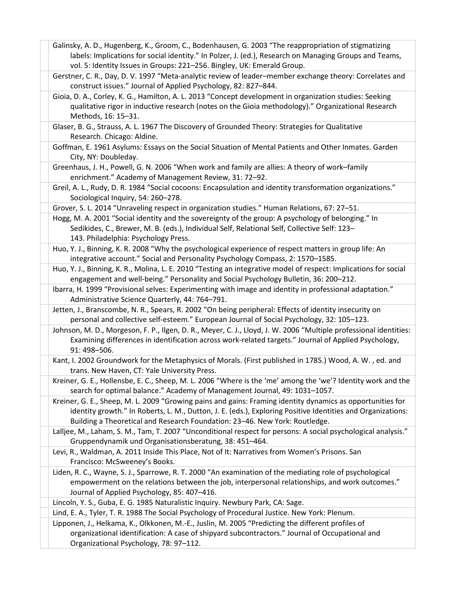Galinsky, A. D., Hugenberg, K., Groom, C., Bodenhausen, G. 2003 "The reappropriation of stigmatizing labels: Implications for social identity." In Polzer, J. (ed.), Research on Managing Groups and Teams, vol. 5: Identity Issues in Groups: 221–256. Bingley, UK: Emerald Group.

Gerstner, C. R., Day, D. V. 1997 "Meta-analytic review of leader–member exchange theory: Correlates and construct issues." Journal of Applied Psychology, 82: 827–844.

Gioia, D. A., Corley, K. G., Hamilton, A. L. 2013 "Concept development in organization studies: Seeking qualitative rigor in inductive research (notes on the Gioia methodology)." Organizational Research Methods, 16: 15–31.

Glaser, B. G., Strauss, A. L. 1967 The Discovery of Grounded Theory: Strategies for Qualitative Research. Chicago: Aldine.

Goffman, E. 1961 Asylums: Essays on the Social Situation of Mental Patients and Other Inmates. Garden City, NY: Doubleday.

Greenhaus, J. H., Powell, G. N. 2006 "When work and family are allies: A theory of work–family enrichment." Academy of Management Review, 31: 72–92.

Greil, A. L., Rudy, D. R. 1984 "Social cocoons: Encapsulation and identity transformation organizations." Sociological Inquiry, 54: 260–278.

Grover, S. L. 2014 "Unraveling respect in organization studies." Human Relations, 67: 27–51.

Hogg, M. A. 2001 "Social identity and the sovereignty of the group: A psychology of belonging." In Sedikides, C., Brewer, M. B. (eds.), Individual Self, Relational Self, Collective Self: 123– 143. Philadelphia: Psychology Press.

Huo, Y. J., Binning, K. R. 2008 "Why the psychological experience of respect matters in group life: An integrative account." Social and Personality Psychology Compass, 2: 1570–1585.

Huo, Y. J., Binning, K. R., Molina, L. E. 2010 "Testing an integrative model of respect: Implications for social engagement and well-being." Personality and Social Psychology Bulletin, 36: 200–212.

Ibarra, H. 1999 "Provisional selves: Experimenting with image and identity in professional adaptation." Administrative Science Quarterly, 44: 764–791.

Jetten, J., Branscombe, N. R., Spears, R. 2002 "On being peripheral: Effects of identity insecurity on personal and collective self-esteem." European Journal of Social Psychology, 32: 105–123.

Johnson, M. D., Morgeson, F. P., Ilgen, D. R., Meyer, C. J., Lloyd, J. W. 2006 "Multiple professional identities: Examining differences in identification across work-related targets." Journal of Applied Psychology, 91: 498–506.

Kant, I. 2002 Groundwork for the Metaphysics of Morals. (First published in 1785.) Wood, A. W. , ed. and trans. New Haven, CT: Yale University Press.

Kreiner, G. E., Hollensbe, E. C., Sheep, M. L. 2006 "Where is the 'me' among the 'we'? Identity work and the search for optimal balance." Academy of Management Journal, 49: 1031–1057.

Kreiner, G. E., Sheep, M. L. 2009 "Growing pains and gains: Framing identity dynamics as opportunities for identity growth." In Roberts, L. M., Dutton, J. E. (eds.), Exploring Positive Identities and Organizations: Building a Theoretical and Research Foundation: 23–46. New York: Routledge.

Lalljee, M., Laham, S. M., Tam, T. 2007 "Unconditional respect for persons: A social psychological analysis." Gruppendynamik und Organisationsberatung, 38: 451–464.

Levi, R., Waldman, A. 2011 Inside This Place, Not of It: Narratives from Women's Prisons. San Francisco: McSweeney's Books.

Liden, R. C., Wayne, S. J., Sparrowe, R. T. 2000 "An examination of the mediating role of psychological empowerment on the relations between the job, interpersonal relationships, and work outcomes." Journal of Applied Psychology, 85: 407–416.

Lincoln, Y. S., Guba, E. G. 1985 Naturalistic Inquiry. Newbury Park, CA: Sage.

Lind, E. A., Tyler, T. R. 1988 The Social Psychology of Procedural Justice. New York: Plenum.

Lipponen, J., Helkama, K., Olkkonen, M.-E., Juslin, M. 2005 "Predicting the different profiles of organizational identification: A case of shipyard subcontractors." Journal of Occupational and Organizational Psychology, 78: 97–112.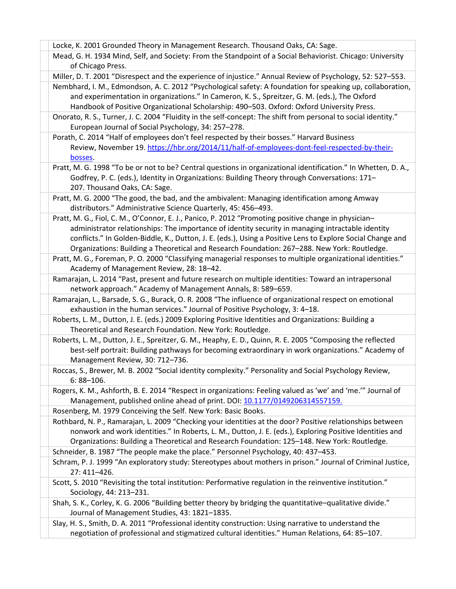| Locke, K. 2001 Grounded Theory in Management Research. Thousand Oaks, CA: Sage.                                                        |
|----------------------------------------------------------------------------------------------------------------------------------------|
| Mead, G. H. 1934 Mind, Self, and Society: From the Standpoint of a Social Behaviorist. Chicago: University                             |
| of Chicago Press.                                                                                                                      |
| Miller, D. T. 2001 "Disrespect and the experience of injustice." Annual Review of Psychology, 52: 527-553.                             |
| Nembhard, I. M., Edmondson, A. C. 2012 "Psychological safety: A foundation for speaking up, collaboration,                             |
| and experimentation in organizations." In Cameron, K. S., Spreitzer, G. M. (eds.), The Oxford                                          |
| Handbook of Positive Organizational Scholarship: 490-503. Oxford: Oxford University Press.                                             |
| Onorato, R. S., Turner, J. C. 2004 "Fluidity in the self-concept: The shift from personal to social identity."                         |
| European Journal of Social Psychology, 34: 257-278.                                                                                    |
| Porath, C. 2014 "Half of employees don't feel respected by their bosses." Harvard Business                                             |
| Review, November 19. https://hbr.org/2014/11/half-of-employees-dont-feel-respected-by-their-                                           |
| bosses.                                                                                                                                |
| Pratt, M. G. 1998 "To be or not to be? Central questions in organizational identification." In Whetten, D. A.,                         |
| Godfrey, P. C. (eds.), Identity in Organizations: Building Theory through Conversations: 171-                                          |
| 207. Thousand Oaks, CA: Sage.                                                                                                          |
| Pratt, M. G. 2000 "The good, the bad, and the ambivalent: Managing identification among Amway                                          |
| distributors." Administrative Science Quarterly, 45: 456-493.                                                                          |
| Pratt, M. G., Fiol, C. M., O'Connor, E. J., Panico, P. 2012 "Promoting positive change in physician-                                   |
| administrator relationships: The importance of identity security in managing intractable identity                                      |
| conflicts." In Golden-Biddle, K., Dutton, J. E. (eds.), Using a Positive Lens to Explore Social Change and                             |
| Organizations: Building a Theoretical and Research Foundation: 267-288. New York: Routledge.                                           |
| Pratt, M. G., Foreman, P. O. 2000 "Classifying managerial responses to multiple organizational identities."                            |
| Academy of Management Review, 28: 18-42.                                                                                               |
| Ramarajan, L. 2014 "Past, present and future research on multiple identities: Toward an intrapersonal                                  |
| network approach." Academy of Management Annals, 8: 589-659.                                                                           |
| Ramarajan, L., Barsade, S. G., Burack, O. R. 2008 "The influence of organizational respect on emotional                                |
| exhaustion in the human services." Journal of Positive Psychology, 3: 4-18.                                                            |
| Roberts, L. M., Dutton, J. E. (eds.) 2009 Exploring Positive Identities and Organizations: Building a                                  |
| Theoretical and Research Foundation. New York: Routledge.                                                                              |
| Roberts, L. M., Dutton, J. E., Spreitzer, G. M., Heaphy, E. D., Quinn, R. E. 2005 "Composing the reflected                             |
| best-self portrait: Building pathways for becoming extraordinary in work organizations." Academy of<br>Management Review, 30: 712-736. |
| Roccas, S., Brewer, M. B. 2002 "Social identity complexity." Personality and Social Psychology Review,                                 |
| $6:88 - 106.$                                                                                                                          |
| Rogers, K. M., Ashforth, B. E. 2014 "Respect in organizations: Feeling valued as 'we' and 'me."" Journal of                            |
| Management, published online ahead of print. DOI: 10.1177/0149206314557159.                                                            |
| Rosenberg, M. 1979 Conceiving the Self. New York: Basic Books.                                                                         |
| Rothbard, N. P., Ramarajan, L. 2009 "Checking your identities at the door? Positive relationships between                              |
| nonwork and work identities." In Roberts, L. M., Dutton, J. E. (eds.), Exploring Positive Identities and                               |
| Organizations: Building a Theoretical and Research Foundation: 125-148. New York: Routledge.                                           |
| Schneider, B. 1987 "The people make the place." Personnel Psychology, 40: 437-453.                                                     |
| Schram, P. J. 1999 "An exploratory study: Stereotypes about mothers in prison." Journal of Criminal Justice,                           |
| 27: 411-426.                                                                                                                           |
| Scott, S. 2010 "Revisiting the total institution: Performative regulation in the reinventive institution."                             |
| Sociology, 44: 213-231.                                                                                                                |
| Shah, S. K., Corley, K. G. 2006 "Building better theory by bridging the quantitative-qualitative divide."                              |
| Journal of Management Studies, 43: 1821-1835.                                                                                          |
| Slay, H. S., Smith, D. A. 2011 "Professional identity construction: Using narrative to understand the                                  |
| negotiation of professional and stigmatized cultural identities." Human Relations, 64: 85-107.                                         |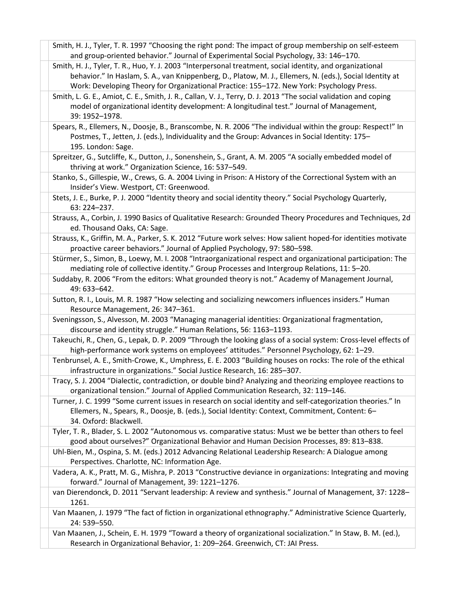| Smith, H. J., Tyler, T. R. 1997 "Choosing the right pond: The impact of group membership on self-esteem<br>and group-oriented behavior." Journal of Experimental Social Psychology, 33: 146-170.            |
|-------------------------------------------------------------------------------------------------------------------------------------------------------------------------------------------------------------|
| Smith, H. J., Tyler, T. R., Huo, Y. J. 2003 "Interpersonal treatment, social identity, and organizational                                                                                                   |
| behavior." In Haslam, S. A., van Knippenberg, D., Platow, M. J., Ellemers, N. (eds.), Social Identity at                                                                                                    |
| Work: Developing Theory for Organizational Practice: 155-172. New York: Psychology Press.                                                                                                                   |
| Smith, L. G. E., Amiot, C. E., Smith, J. R., Callan, V. J., Terry, D. J. 2013 "The social validation and coping                                                                                             |
| model of organizational identity development: A longitudinal test." Journal of Management,<br>39: 1952-1978.                                                                                                |
| Spears, R., Ellemers, N., Doosje, B., Branscombe, N. R. 2006 "The individual within the group: Respect!" In                                                                                                 |
| Postmes, T., Jetten, J. (eds.), Individuality and the Group: Advances in Social Identity: 175-<br>195. London: Sage.                                                                                        |
| Spreitzer, G., Sutcliffe, K., Dutton, J., Sonenshein, S., Grant, A. M. 2005 "A socially embedded model of                                                                                                   |
| thriving at work." Organization Science, 16: 537-549.                                                                                                                                                       |
| Stanko, S., Gillespie, W., Crews, G. A. 2004 Living in Prison: A History of the Correctional System with an                                                                                                 |
| Insider's View. Westport, CT: Greenwood.                                                                                                                                                                    |
| Stets, J. E., Burke, P. J. 2000 "Identity theory and social identity theory." Social Psychology Quarterly,                                                                                                  |
| 63: 224-237.                                                                                                                                                                                                |
| Strauss, A., Corbin, J. 1990 Basics of Qualitative Research: Grounded Theory Procedures and Techniques, 2d<br>ed. Thousand Oaks, CA: Sage.                                                                  |
| Strauss, K., Griffin, M. A., Parker, S. K. 2012 "Future work selves: How salient hoped-for identities motivate                                                                                              |
| proactive career behaviors." Journal of Applied Psychology, 97: 580-598.                                                                                                                                    |
| Stürmer, S., Simon, B., Loewy, M. I. 2008 "Intraorganizational respect and organizational participation: The<br>mediating role of collective identity." Group Processes and Intergroup Relations, 11: 5-20. |
| Suddaby, R. 2006 "From the editors: What grounded theory is not." Academy of Management Journal,                                                                                                            |
| 49: 633-642.                                                                                                                                                                                                |
| Sutton, R. I., Louis, M. R. 1987 "How selecting and socializing newcomers influences insiders." Human                                                                                                       |
| Resource Management, 26: 347-361.                                                                                                                                                                           |
| Sveningsson, S., Alvesson, M. 2003 "Managing managerial identities: Organizational fragmentation,                                                                                                           |
| discourse and identity struggle." Human Relations, 56: 1163-1193.                                                                                                                                           |
| Takeuchi, R., Chen, G., Lepak, D. P. 2009 "Through the looking glass of a social system: Cross-level effects of<br>high-performance work systems on employees' attitudes." Personnel Psychology, 62: 1-29.  |
| Tenbrunsel, A. E., Smith-Crowe, K., Umphress, E. E. 2003 "Building houses on rocks: The role of the ethical                                                                                                 |
| infrastructure in organizations." Social Justice Research, 16: 285-307.                                                                                                                                     |
| Tracy, S. J. 2004 "Dialectic, contradiction, or double bind? Analyzing and theorizing employee reactions to<br>organizational tension." Journal of Applied Communication Research, 32: 119-146.             |
| Turner, J. C. 1999 "Some current issues in research on social identity and self-categorization theories." In                                                                                                |
| Ellemers, N., Spears, R., Doosje, B. (eds.), Social Identity: Context, Commitment, Content: 6-                                                                                                              |
| 34. Oxford: Blackwell.                                                                                                                                                                                      |
| Tyler, T. R., Blader, S. L. 2002 "Autonomous vs. comparative status: Must we be better than others to feel                                                                                                  |
| good about ourselves?" Organizational Behavior and Human Decision Processes, 89: 813-838.                                                                                                                   |
| Uhl-Bien, M., Ospina, S. M. (eds.) 2012 Advancing Relational Leadership Research: A Dialogue among                                                                                                          |
| Perspectives. Charlotte, NC: Information Age.                                                                                                                                                               |
| Vadera, A. K., Pratt, M. G., Mishra, P. 2013 "Constructive deviance in organizations: Integrating and moving                                                                                                |
| forward." Journal of Management, 39: 1221-1276.<br>van Dierendonck, D. 2011 "Servant leadership: A review and synthesis." Journal of Management, 37: 1228-                                                  |
| 1261.                                                                                                                                                                                                       |
| Van Maanen, J. 1979 "The fact of fiction in organizational ethnography." Administrative Science Quarterly,                                                                                                  |
| 24: 539-550.                                                                                                                                                                                                |
| Van Maanen, J., Schein, E. H. 1979 "Toward a theory of organizational socialization." In Staw, B. M. (ed.),                                                                                                 |
| Research in Organizational Behavior, 1: 209-264. Greenwich, CT: JAI Press.                                                                                                                                  |